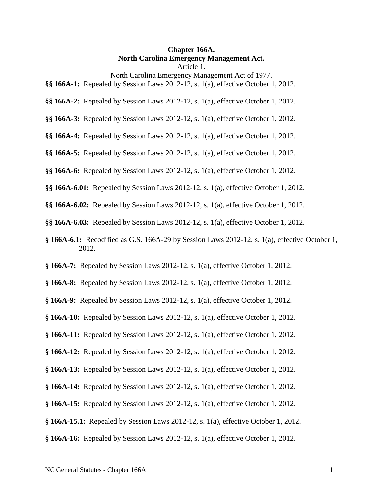#### **Chapter 166A. North Carolina Emergency Management Act.** Article 1.

North Carolina Emergency Management Act of 1977.

- **§§ 166A-1:** Repealed by Session Laws 2012-12, s. 1(a), effective October 1, 2012.
- **§§ 166A-2:** Repealed by Session Laws 2012-12, s. 1(a), effective October 1, 2012.
- **§§ 166A-3:** Repealed by Session Laws 2012-12, s. 1(a), effective October 1, 2012.
- **§§ 166A-4:** Repealed by Session Laws 2012-12, s. 1(a), effective October 1, 2012.
- **§§ 166A-5:** Repealed by Session Laws 2012-12, s. 1(a), effective October 1, 2012.
- **§§ 166A-6:** Repealed by Session Laws 2012-12, s. 1(a), effective October 1, 2012.
- **§§ 166A-6.01:** Repealed by Session Laws 2012-12, s. 1(a), effective October 1, 2012.
- **§§ 166A-6.02:** Repealed by Session Laws 2012-12, s. 1(a), effective October 1, 2012.
- **§§ 166A-6.03:** Repealed by Session Laws 2012-12, s. 1(a), effective October 1, 2012.
- **§ 166A-6.1:** Recodified as G.S. 166A-29 by Session Laws 2012-12, s. 1(a), effective October 1, 2012.
- **§ 166A-7:** Repealed by Session Laws 2012-12, s. 1(a), effective October 1, 2012.
- **§ 166A-8:** Repealed by Session Laws 2012-12, s. 1(a), effective October 1, 2012.
- **§ 166A-9:** Repealed by Session Laws 2012-12, s. 1(a), effective October 1, 2012.
- **§ 166A-10:** Repealed by Session Laws 2012-12, s. 1(a), effective October 1, 2012.
- **§ 166A-11:** Repealed by Session Laws 2012-12, s. 1(a), effective October 1, 2012.
- **§ 166A-12:** Repealed by Session Laws 2012-12, s. 1(a), effective October 1, 2012.
- **§ 166A-13:** Repealed by Session Laws 2012-12, s. 1(a), effective October 1, 2012.
- **§ 166A-14:** Repealed by Session Laws 2012-12, s. 1(a), effective October 1, 2012.
- **§ 166A-15:** Repealed by Session Laws 2012-12, s. 1(a), effective October 1, 2012.
- **§ 166A-15.1:** Repealed by Session Laws 2012-12, s. 1(a), effective October 1, 2012.
- **§ 166A-16:** Repealed by Session Laws 2012-12, s. 1(a), effective October 1, 2012.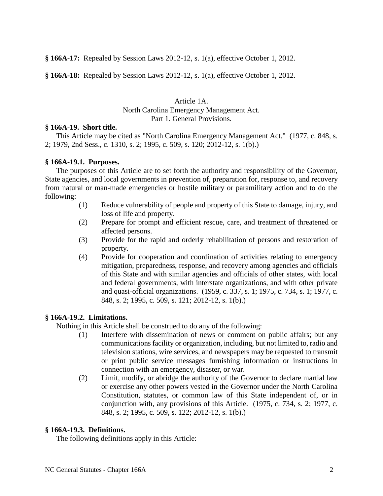**§ 166A-17:** Repealed by Session Laws 2012-12, s. 1(a), effective October 1, 2012.

**§ 166A-18:** Repealed by Session Laws 2012-12, s. 1(a), effective October 1, 2012.

Article 1A. North Carolina Emergency Management Act. Part 1. General Provisions.

## **§ 166A-19. Short title.**

This Article may be cited as "North Carolina Emergency Management Act." (1977, c. 848, s. 2; 1979, 2nd Sess., c. 1310, s. 2; 1995, c. 509, s. 120; 2012-12, s. 1(b).)

## **§ 166A-19.1. Purposes.**

The purposes of this Article are to set forth the authority and responsibility of the Governor, State agencies, and local governments in prevention of, preparation for, response to, and recovery from natural or man-made emergencies or hostile military or paramilitary action and to do the following:

- (1) Reduce vulnerability of people and property of this State to damage, injury, and loss of life and property.
- (2) Prepare for prompt and efficient rescue, care, and treatment of threatened or affected persons.
- (3) Provide for the rapid and orderly rehabilitation of persons and restoration of property.
- (4) Provide for cooperation and coordination of activities relating to emergency mitigation, preparedness, response, and recovery among agencies and officials of this State and with similar agencies and officials of other states, with local and federal governments, with interstate organizations, and with other private and quasi-official organizations. (1959, c. 337, s. 1; 1975, c. 734, s. 1; 1977, c. 848, s. 2; 1995, c. 509, s. 121; 2012-12, s. 1(b).)

## **§ 166A-19.2. Limitations.**

Nothing in this Article shall be construed to do any of the following:

- (1) Interfere with dissemination of news or comment on public affairs; but any communications facility or organization, including, but not limited to, radio and television stations, wire services, and newspapers may be requested to transmit or print public service messages furnishing information or instructions in connection with an emergency, disaster, or war.
- (2) Limit, modify, or abridge the authority of the Governor to declare martial law or exercise any other powers vested in the Governor under the North Carolina Constitution, statutes, or common law of this State independent of, or in conjunction with, any provisions of this Article. (1975, c. 734, s. 2; 1977, c. 848, s. 2; 1995, c. 509, s. 122; 2012-12, s. 1(b).)

## **§ 166A-19.3. Definitions.**

The following definitions apply in this Article: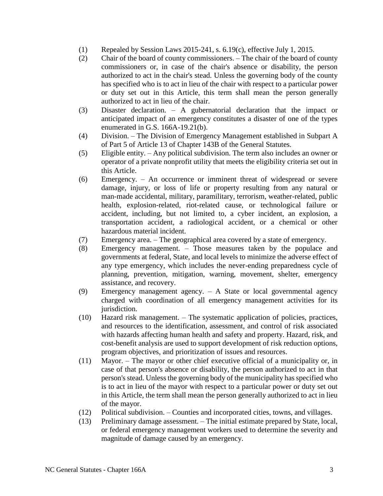- (1) Repealed by Session Laws 2015-241, s. 6.19(c), effective July 1, 2015.
- (2) Chair of the board of county commissioners. The chair of the board of county commissioners or, in case of the chair's absence or disability, the person authorized to act in the chair's stead. Unless the governing body of the county has specified who is to act in lieu of the chair with respect to a particular power or duty set out in this Article, this term shall mean the person generally authorized to act in lieu of the chair.
- (3) Disaster declaration. A gubernatorial declaration that the impact or anticipated impact of an emergency constitutes a disaster of one of the types enumerated in G.S. 166A-19.21(b).
- (4) Division. The Division of Emergency Management established in Subpart A of Part 5 of Article 13 of Chapter 143B of the General Statutes.
- (5) Eligible entity. Any political subdivision. The term also includes an owner or operator of a private nonprofit utility that meets the eligibility criteria set out in this Article.
- (6) Emergency. An occurrence or imminent threat of widespread or severe damage, injury, or loss of life or property resulting from any natural or man-made accidental, military, paramilitary, terrorism, weather-related, public health, explosion-related, riot-related cause, or technological failure or accident, including, but not limited to, a cyber incident, an explosion, a transportation accident, a radiological accident, or a chemical or other hazardous material incident.
- (7) Emergency area. The geographical area covered by a state of emergency.
- (8) Emergency management. Those measures taken by the populace and governments at federal, State, and local levels to minimize the adverse effect of any type emergency, which includes the never-ending preparedness cycle of planning, prevention, mitigation, warning, movement, shelter, emergency assistance, and recovery.
- (9) Emergency management agency. A State or local governmental agency charged with coordination of all emergency management activities for its jurisdiction.
- (10) Hazard risk management. The systematic application of policies, practices, and resources to the identification, assessment, and control of risk associated with hazards affecting human health and safety and property. Hazard, risk, and cost-benefit analysis are used to support development of risk reduction options, program objectives, and prioritization of issues and resources.
- (11) Mayor. The mayor or other chief executive official of a municipality or, in case of that person's absence or disability, the person authorized to act in that person's stead. Unless the governing body of the municipality has specified who is to act in lieu of the mayor with respect to a particular power or duty set out in this Article, the term shall mean the person generally authorized to act in lieu of the mayor.
- (12) Political subdivision. Counties and incorporated cities, towns, and villages.
- (13) Preliminary damage assessment. The initial estimate prepared by State, local, or federal emergency management workers used to determine the severity and magnitude of damage caused by an emergency.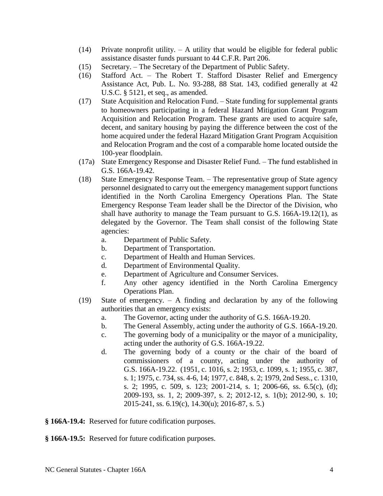- (14) Private nonprofit utility. A utility that would be eligible for federal public assistance disaster funds pursuant to 44 C.F.R. Part 206.
- (15) Secretary. The Secretary of the Department of Public Safety.
- (16) Stafford Act. The Robert T. Stafford Disaster Relief and Emergency Assistance Act, Pub. L. No. 93-288, 88 Stat. 143, codified generally at 42 U.S.C. § 5121, et seq., as amended.
- (17) State Acquisition and Relocation Fund. State funding for supplemental grants to homeowners participating in a federal Hazard Mitigation Grant Program Acquisition and Relocation Program. These grants are used to acquire safe, decent, and sanitary housing by paying the difference between the cost of the home acquired under the federal Hazard Mitigation Grant Program Acquisition and Relocation Program and the cost of a comparable home located outside the 100-year floodplain.
- (17a) State Emergency Response and Disaster Relief Fund. The fund established in G.S. 166A-19.42.
- (18) State Emergency Response Team. The representative group of State agency personnel designated to carry out the emergency management support functions identified in the North Carolina Emergency Operations Plan. The State Emergency Response Team leader shall be the Director of the Division, who shall have authority to manage the Team pursuant to G.S. 166A-19.12(1), as delegated by the Governor. The Team shall consist of the following State agencies:
	- a. Department of Public Safety.
	- b. Department of Transportation.
	- c. Department of Health and Human Services.
	- d. Department of Environmental Quality.
	- e. Department of Agriculture and Consumer Services.
	- f. Any other agency identified in the North Carolina Emergency Operations Plan.
- (19) State of emergency. A finding and declaration by any of the following authorities that an emergency exists:
	- a. The Governor, acting under the authority of G.S. 166A-19.20.
	- b. The General Assembly, acting under the authority of G.S. 166A-19.20.
	- c. The governing body of a municipality or the mayor of a municipality, acting under the authority of G.S. 166A-19.22.
	- d. The governing body of a county or the chair of the board of commissioners of a county, acting under the authority of G.S. 166A-19.22. (1951, c. 1016, s. 2; 1953, c. 1099, s. 1; 1955, c. 387, s. 1; 1975, c. 734, ss. 4-6, 14; 1977, c. 848, s. 2; 1979, 2nd Sess., c. 1310, s. 2; 1995, c. 509, s. 123; 2001-214, s. 1; 2006-66, ss. 6.5(c), (d); 2009-193, ss. 1, 2; 2009-397, s. 2; 2012-12, s. 1(b); 2012-90, s. 10; 2015-241, ss. 6.19(c), 14.30(u); 2016-87, s. 5.)

**§ 166A-19.4:** Reserved for future codification purposes.

**§ 166A-19.5:** Reserved for future codification purposes.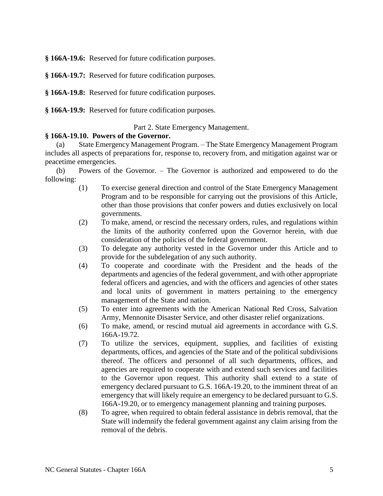**§ 166A-19.6:** Reserved for future codification purposes.

**§ 166A-19.7:** Reserved for future codification purposes.

**§ 166A-19.8:** Reserved for future codification purposes.

**§ 166A-19.9:** Reserved for future codification purposes.

Part 2. State Emergency Management.

#### **§ 166A-19.10. Powers of the Governor.**

(a) State Emergency Management Program. – The State Emergency Management Program includes all aspects of preparations for, response to, recovery from, and mitigation against war or peacetime emergencies.

(b) Powers of the Governor. – The Governor is authorized and empowered to do the following:

- (1) To exercise general direction and control of the State Emergency Management Program and to be responsible for carrying out the provisions of this Article, other than those provisions that confer powers and duties exclusively on local governments.
- (2) To make, amend, or rescind the necessary orders, rules, and regulations within the limits of the authority conferred upon the Governor herein, with due consideration of the policies of the federal government.
- (3) To delegate any authority vested in the Governor under this Article and to provide for the subdelegation of any such authority.
- (4) To cooperate and coordinate with the President and the heads of the departments and agencies of the federal government, and with other appropriate federal officers and agencies, and with the officers and agencies of other states and local units of government in matters pertaining to the emergency management of the State and nation.
- (5) To enter into agreements with the American National Red Cross, Salvation Army, Mennonite Disaster Service, and other disaster relief organizations.
- (6) To make, amend, or rescind mutual aid agreements in accordance with G.S. 166A-19.72.
- (7) To utilize the services, equipment, supplies, and facilities of existing departments, offices, and agencies of the State and of the political subdivisions thereof. The officers and personnel of all such departments, offices, and agencies are required to cooperate with and extend such services and facilities to the Governor upon request. This authority shall extend to a state of emergency declared pursuant to G.S. 166A-19.20, to the imminent threat of an emergency that will likely require an emergency to be declared pursuant to G.S. 166A-19.20, or to emergency management planning and training purposes.
- (8) To agree, when required to obtain federal assistance in debris removal, that the State will indemnify the federal government against any claim arising from the removal of the debris.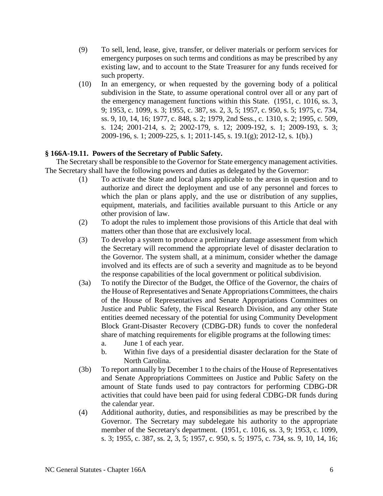- (9) To sell, lend, lease, give, transfer, or deliver materials or perform services for emergency purposes on such terms and conditions as may be prescribed by any existing law, and to account to the State Treasurer for any funds received for such property.
- (10) In an emergency, or when requested by the governing body of a political subdivision in the State, to assume operational control over all or any part of the emergency management functions within this State. (1951, c. 1016, ss. 3, 9; 1953, c. 1099, s. 3; 1955, c. 387, ss. 2, 3, 5; 1957, c. 950, s. 5; 1975, c. 734, ss. 9, 10, 14, 16; 1977, c. 848, s. 2; 1979, 2nd Sess., c. 1310, s. 2; 1995, c. 509, s. 124; 2001-214, s. 2; 2002-179, s. 12; 2009-192, s. 1; 2009-193, s. 3; 2009-196, s. 1; 2009-225, s. 1; 2011-145, s. 19.1(g); 2012-12, s. 1(b).)

## **§ 166A-19.11. Powers of the Secretary of Public Safety.**

The Secretary shall be responsible to the Governor for State emergency management activities. The Secretary shall have the following powers and duties as delegated by the Governor:

- (1) To activate the State and local plans applicable to the areas in question and to authorize and direct the deployment and use of any personnel and forces to which the plan or plans apply, and the use or distribution of any supplies, equipment, materials, and facilities available pursuant to this Article or any other provision of law.
- (2) To adopt the rules to implement those provisions of this Article that deal with matters other than those that are exclusively local.
- (3) To develop a system to produce a preliminary damage assessment from which the Secretary will recommend the appropriate level of disaster declaration to the Governor. The system shall, at a minimum, consider whether the damage involved and its effects are of such a severity and magnitude as to be beyond the response capabilities of the local government or political subdivision.
- (3a) To notify the Director of the Budget, the Office of the Governor, the chairs of the House of Representatives and Senate Appropriations Committees, the chairs of the House of Representatives and Senate Appropriations Committees on Justice and Public Safety, the Fiscal Research Division, and any other State entities deemed necessary of the potential for using Community Development Block Grant-Disaster Recovery (CDBG-DR) funds to cover the nonfederal share of matching requirements for eligible programs at the following times:
	- a. June 1 of each year.
	- b. Within five days of a presidential disaster declaration for the State of North Carolina.
- (3b) To report annually by December 1 to the chairs of the House of Representatives and Senate Appropriations Committees on Justice and Public Safety on the amount of State funds used to pay contractors for performing CDBG-DR activities that could have been paid for using federal CDBG-DR funds during the calendar year.
- (4) Additional authority, duties, and responsibilities as may be prescribed by the Governor. The Secretary may subdelegate his authority to the appropriate member of the Secretary's department. (1951, c. 1016, ss. 3, 9; 1953, c. 1099, s. 3; 1955, c. 387, ss. 2, 3, 5; 1957, c. 950, s. 5; 1975, c. 734, ss. 9, 10, 14, 16;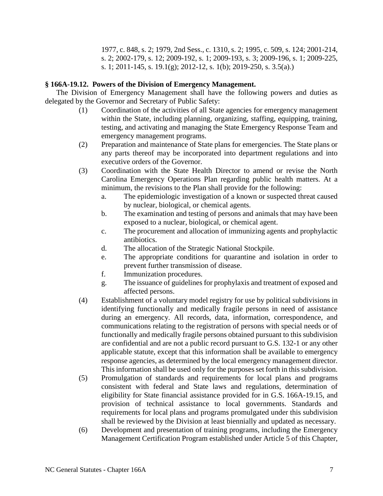1977, c. 848, s. 2; 1979, 2nd Sess., c. 1310, s. 2; 1995, c. 509, s. 124; 2001-214, s. 2; 2002-179, s. 12; 2009-192, s. 1; 2009-193, s. 3; 2009-196, s. 1; 2009-225, s. 1; 2011-145, s. 19.1(g); 2012-12, s. 1(b); 2019-250, s. 3.5(a).)

## **§ 166A-19.12. Powers of the Division of Emergency Management.**

The Division of Emergency Management shall have the following powers and duties as delegated by the Governor and Secretary of Public Safety:

- (1) Coordination of the activities of all State agencies for emergency management within the State, including planning, organizing, staffing, equipping, training, testing, and activating and managing the State Emergency Response Team and emergency management programs.
- (2) Preparation and maintenance of State plans for emergencies. The State plans or any parts thereof may be incorporated into department regulations and into executive orders of the Governor.
- (3) Coordination with the State Health Director to amend or revise the North Carolina Emergency Operations Plan regarding public health matters. At a minimum, the revisions to the Plan shall provide for the following:
	- a. The epidemiologic investigation of a known or suspected threat caused by nuclear, biological, or chemical agents.
	- b. The examination and testing of persons and animals that may have been exposed to a nuclear, biological, or chemical agent.
	- c. The procurement and allocation of immunizing agents and prophylactic antibiotics.
	- d. The allocation of the Strategic National Stockpile.
	- e. The appropriate conditions for quarantine and isolation in order to prevent further transmission of disease.
	- f. Immunization procedures.
	- g. The issuance of guidelines for prophylaxis and treatment of exposed and affected persons.
- (4) Establishment of a voluntary model registry for use by political subdivisions in identifying functionally and medically fragile persons in need of assistance during an emergency. All records, data, information, correspondence, and communications relating to the registration of persons with special needs or of functionally and medically fragile persons obtained pursuant to this subdivision are confidential and are not a public record pursuant to G.S. 132-1 or any other applicable statute, except that this information shall be available to emergency response agencies, as determined by the local emergency management director. This information shall be used only for the purposes set forth in this subdivision.
- (5) Promulgation of standards and requirements for local plans and programs consistent with federal and State laws and regulations, determination of eligibility for State financial assistance provided for in G.S. 166A-19.15, and provision of technical assistance to local governments. Standards and requirements for local plans and programs promulgated under this subdivision shall be reviewed by the Division at least biennially and updated as necessary.
- (6) Development and presentation of training programs, including the Emergency Management Certification Program established under Article 5 of this Chapter,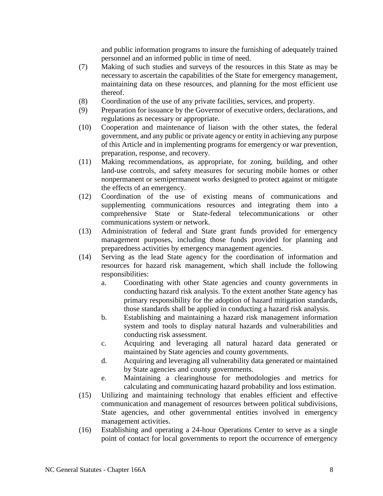and public information programs to insure the furnishing of adequately trained personnel and an informed public in time of need.

- (7) Making of such studies and surveys of the resources in this State as may be necessary to ascertain the capabilities of the State for emergency management, maintaining data on these resources, and planning for the most efficient use thereof.
- (8) Coordination of the use of any private facilities, services, and property.
- (9) Preparation for issuance by the Governor of executive orders, declarations, and regulations as necessary or appropriate.
- (10) Cooperation and maintenance of liaison with the other states, the federal government, and any public or private agency or entity in achieving any purpose of this Article and in implementing programs for emergency or war prevention, preparation, response, and recovery.
- (11) Making recommendations, as appropriate, for zoning, building, and other land-use controls, and safety measures for securing mobile homes or other nonpermanent or semipermanent works designed to protect against or mitigate the effects of an emergency.
- (12) Coordination of the use of existing means of communications and supplementing communications resources and integrating them into a comprehensive State or State-federal telecommunications or other communications system or network.
- (13) Administration of federal and State grant funds provided for emergency management purposes, including those funds provided for planning and preparedness activities by emergency management agencies.
- (14) Serving as the lead State agency for the coordination of information and resources for hazard risk management, which shall include the following responsibilities:
	- a. Coordinating with other State agencies and county governments in conducting hazard risk analysis. To the extent another State agency has primary responsibility for the adoption of hazard mitigation standards, those standards shall be applied in conducting a hazard risk analysis.
	- b. Establishing and maintaining a hazard risk management information system and tools to display natural hazards and vulnerabilities and conducting risk assessment.
	- c. Acquiring and leveraging all natural hazard data generated or maintained by State agencies and county governments.
	- d. Acquiring and leveraging all vulnerability data generated or maintained by State agencies and county governments.
	- e. Maintaining a clearinghouse for methodologies and metrics for calculating and communicating hazard probability and loss estimation.
- (15) Utilizing and maintaining technology that enables efficient and effective communication and management of resources between political subdivisions, State agencies, and other governmental entities involved in emergency management activities.
- (16) Establishing and operating a 24-hour Operations Center to serve as a single point of contact for local governments to report the occurrence of emergency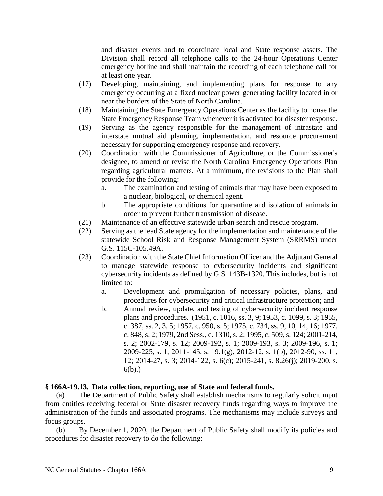and disaster events and to coordinate local and State response assets. The Division shall record all telephone calls to the 24-hour Operations Center emergency hotline and shall maintain the recording of each telephone call for at least one year.

- (17) Developing, maintaining, and implementing plans for response to any emergency occurring at a fixed nuclear power generating facility located in or near the borders of the State of North Carolina.
- (18) Maintaining the State Emergency Operations Center as the facility to house the State Emergency Response Team whenever it is activated for disaster response.
- (19) Serving as the agency responsible for the management of intrastate and interstate mutual aid planning, implementation, and resource procurement necessary for supporting emergency response and recovery.
- (20) Coordination with the Commissioner of Agriculture, or the Commissioner's designee, to amend or revise the North Carolina Emergency Operations Plan regarding agricultural matters. At a minimum, the revisions to the Plan shall provide for the following:
	- a. The examination and testing of animals that may have been exposed to a nuclear, biological, or chemical agent.
	- b. The appropriate conditions for quarantine and isolation of animals in order to prevent further transmission of disease.
- (21) Maintenance of an effective statewide urban search and rescue program.
- (22) Serving as the lead State agency for the implementation and maintenance of the statewide School Risk and Response Management System (SRRMS) under G.S. 115C-105.49A.
- (23) Coordination with the State Chief Information Officer and the Adjutant General to manage statewide response to cybersecurity incidents and significant cybersecurity incidents as defined by G.S. 143B-1320. This includes, but is not limited to:
	- a. Development and promulgation of necessary policies, plans, and procedures for cybersecurity and critical infrastructure protection; and
	- b. Annual review, update, and testing of cybersecurity incident response plans and procedures. (1951, c. 1016, ss. 3, 9; 1953, c. 1099, s. 3; 1955, c. 387, ss. 2, 3, 5; 1957, c. 950, s. 5; 1975, c. 734, ss. 9, 10, 14, 16; 1977, c. 848, s. 2; 1979, 2nd Sess., c. 1310, s. 2; 1995, c. 509, s. 124; 2001-214, s. 2; 2002-179, s. 12; 2009-192, s. 1; 2009-193, s. 3; 2009-196, s. 1; 2009-225, s. 1; 2011-145, s. 19.1(g); 2012-12, s. 1(b); 2012-90, ss. 11, 12; 2014-27, s. 3; 2014-122, s. 6(c); 2015-241, s. 8.26(j); 2019-200, s. 6(b).)

#### **§ 166A-19.13. Data collection, reporting, use of State and federal funds.**

(a) The Department of Public Safety shall establish mechanisms to regularly solicit input from entities receiving federal or State disaster recovery funds regarding ways to improve the administration of the funds and associated programs. The mechanisms may include surveys and focus groups.

(b) By December 1, 2020, the Department of Public Safety shall modify its policies and procedures for disaster recovery to do the following: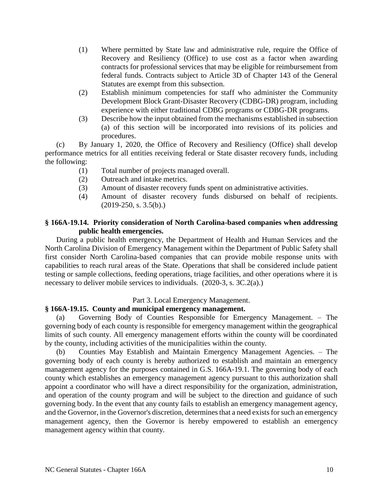- (1) Where permitted by State law and administrative rule, require the Office of Recovery and Resiliency (Office) to use cost as a factor when awarding contracts for professional services that may be eligible for reimbursement from federal funds. Contracts subject to Article 3D of Chapter 143 of the General Statutes are exempt from this subsection.
- (2) Establish minimum competencies for staff who administer the Community Development Block Grant-Disaster Recovery (CDBG-DR) program, including experience with either traditional CDBG programs or CDBG-DR programs.
- (3) Describe how the input obtained from the mechanisms established in subsection (a) of this section will be incorporated into revisions of its policies and procedures.

(c) By January 1, 2020, the Office of Recovery and Resiliency (Office) shall develop performance metrics for all entities receiving federal or State disaster recovery funds, including the following:

- (1) Total number of projects managed overall.
- (2) Outreach and intake metrics.
- (3) Amount of disaster recovery funds spent on administrative activities.
- (4) Amount of disaster recovery funds disbursed on behalf of recipients.  $(2019-250, s. 3.5(b))$ .

## **§ 166A-19.14. Priority consideration of North Carolina-based companies when addressing public health emergencies.**

During a public health emergency, the Department of Health and Human Services and the North Carolina Division of Emergency Management within the Department of Public Safety shall first consider North Carolina-based companies that can provide mobile response units with capabilities to reach rural areas of the State. Operations that shall be considered include patient testing or sample collections, feeding operations, triage facilities, and other operations where it is necessary to deliver mobile services to individuals. (2020-3, s. 3C.2(a).)

Part 3. Local Emergency Management.

## **§ 166A-19.15. County and municipal emergency management.**

(a) Governing Body of Counties Responsible for Emergency Management. – The governing body of each county is responsible for emergency management within the geographical limits of such county. All emergency management efforts within the county will be coordinated by the county, including activities of the municipalities within the county.

Counties May Establish and Maintain Emergency Management Agencies. – The governing body of each county is hereby authorized to establish and maintain an emergency management agency for the purposes contained in G.S. 166A-19.1. The governing body of each county which establishes an emergency management agency pursuant to this authorization shall appoint a coordinator who will have a direct responsibility for the organization, administration, and operation of the county program and will be subject to the direction and guidance of such governing body. In the event that any county fails to establish an emergency management agency, and the Governor, in the Governor's discretion, determines that a need exists for such an emergency management agency, then the Governor is hereby empowered to establish an emergency management agency within that county.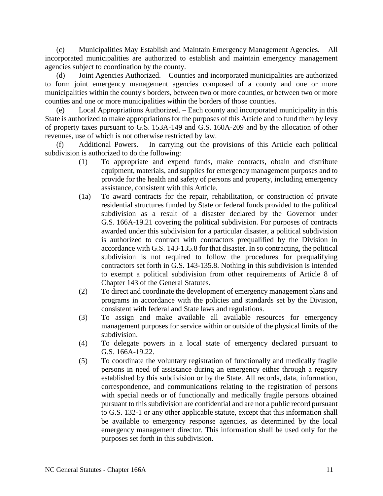(c) Municipalities May Establish and Maintain Emergency Management Agencies. – All incorporated municipalities are authorized to establish and maintain emergency management agencies subject to coordination by the county.

Joint Agencies Authorized. – Counties and incorporated municipalities are authorized to form joint emergency management agencies composed of a county and one or more municipalities within the county's borders, between two or more counties, or between two or more counties and one or more municipalities within the borders of those counties.

(e) Local Appropriations Authorized. – Each county and incorporated municipality in this State is authorized to make appropriations for the purposes of this Article and to fund them by levy of property taxes pursuant to G.S. 153A-149 and G.S. 160A-209 and by the allocation of other revenues, use of which is not otherwise restricted by law.

(f) Additional Powers. – In carrying out the provisions of this Article each political subdivision is authorized to do the following:

- (1) To appropriate and expend funds, make contracts, obtain and distribute equipment, materials, and supplies for emergency management purposes and to provide for the health and safety of persons and property, including emergency assistance, consistent with this Article.
- (1a) To award contracts for the repair, rehabilitation, or construction of private residential structures funded by State or federal funds provided to the political subdivision as a result of a disaster declared by the Governor under G.S. 166A-19.21 covering the political subdivision. For purposes of contracts awarded under this subdivision for a particular disaster, a political subdivision is authorized to contract with contractors prequalified by the Division in accordance with G.S. 143-135.8 for that disaster. In so contracting, the political subdivision is not required to follow the procedures for prequalifying contractors set forth in G.S. 143-135.8. Nothing in this subdivision is intended to exempt a political subdivision from other requirements of Article 8 of Chapter 143 of the General Statutes.
- (2) To direct and coordinate the development of emergency management plans and programs in accordance with the policies and standards set by the Division, consistent with federal and State laws and regulations.
- (3) To assign and make available all available resources for emergency management purposes for service within or outside of the physical limits of the subdivision.
- (4) To delegate powers in a local state of emergency declared pursuant to G.S. 166A-19.22.
- (5) To coordinate the voluntary registration of functionally and medically fragile persons in need of assistance during an emergency either through a registry established by this subdivision or by the State. All records, data, information, correspondence, and communications relating to the registration of persons with special needs or of functionally and medically fragile persons obtained pursuant to this subdivision are confidential and are not a public record pursuant to G.S. 132-1 or any other applicable statute, except that this information shall be available to emergency response agencies, as determined by the local emergency management director. This information shall be used only for the purposes set forth in this subdivision.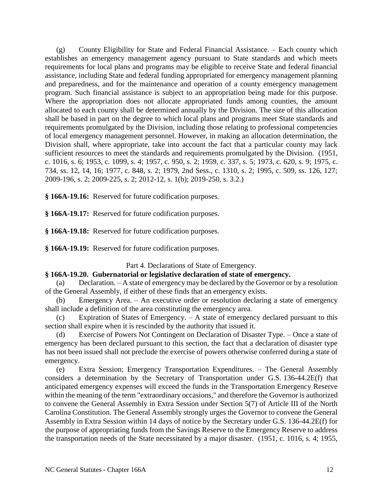(g) County Eligibility for State and Federal Financial Assistance. – Each county which establishes an emergency management agency pursuant to State standards and which meets requirements for local plans and programs may be eligible to receive State and federal financial assistance, including State and federal funding appropriated for emergency management planning and preparedness, and for the maintenance and operation of a county emergency management program. Such financial assistance is subject to an appropriation being made for this purpose. Where the appropriation does not allocate appropriated funds among counties, the amount allocated to each county shall be determined annually by the Division. The size of this allocation shall be based in part on the degree to which local plans and programs meet State standards and requirements promulgated by the Division, including those relating to professional competencies of local emergency management personnel. However, in making an allocation determination, the Division shall, where appropriate, take into account the fact that a particular county may lack sufficient resources to meet the standards and requirements promulgated by the Division. (1951, c. 1016, s. 6; 1953, c. 1099, s. 4; 1957, c. 950, s. 2; 1959, c. 337, s. 5; 1973, c. 620, s. 9; 1975, c. 734, ss. 12, 14, 16; 1977, c. 848, s. 2; 1979, 2nd Sess., c. 1310, s. 2; 1995, c. 509, ss. 126, 127; 2009-196, s. 2; 2009-225, s. 2; 2012-12, s. 1(b); 2019-250, s. 3.2.)

**§ 166A-19.16:** Reserved for future codification purposes.

**§ 166A-19.17:** Reserved for future codification purposes.

**§ 166A-19.18:** Reserved for future codification purposes.

**§ 166A-19.19:** Reserved for future codification purposes.

Part 4. Declarations of State of Emergency.

## **§ 166A-19.20. Gubernatorial or legislative declaration of state of emergency.**

(a) Declaration. – A state of emergency may be declared by the Governor or by a resolution of the General Assembly, if either of these finds that an emergency exists.

(b) Emergency Area. – An executive order or resolution declaring a state of emergency shall include a definition of the area constituting the emergency area.

(c) Expiration of States of Emergency. – A state of emergency declared pursuant to this section shall expire when it is rescinded by the authority that issued it.

(d) Exercise of Powers Not Contingent on Declaration of Disaster Type. – Once a state of emergency has been declared pursuant to this section, the fact that a declaration of disaster type has not been issued shall not preclude the exercise of powers otherwise conferred during a state of emergency.

(e) Extra Session; Emergency Transportation Expenditures. – The General Assembly considers a determination by the Secretary of Transportation under G.S. 136-44.2E(f) that anticipated emergency expenses will exceed the funds in the Transportation Emergency Reserve within the meaning of the term "extraordinary occasions," and therefore the Governor is authorized to convene the General Assembly in Extra Session under Section 5(7) of Article III of the North Carolina Constitution. The General Assembly strongly urges the Governor to convene the General Assembly in Extra Session within 14 days of notice by the Secretary under G.S. 136-44.2E(f) for the purpose of appropriating funds from the Savings Reserve to the Emergency Reserve to address the transportation needs of the State necessitated by a major disaster. (1951, c. 1016, s. 4; 1955,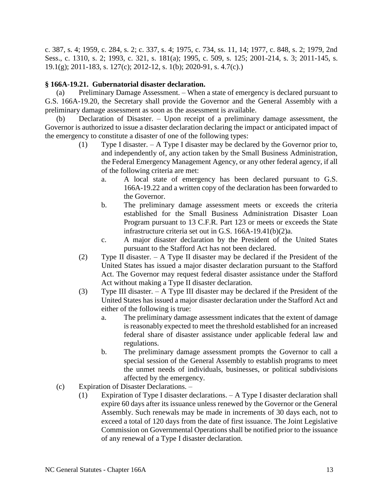c. 387, s. 4; 1959, c. 284, s. 2; c. 337, s. 4; 1975, c. 734, ss. 11, 14; 1977, c. 848, s. 2; 1979, 2nd Sess., c. 1310, s. 2; 1993, c. 321, s. 181(a); 1995, c. 509, s. 125; 2001-214, s. 3; 2011-145, s. 19.1(g); 2011-183, s. 127(c); 2012-12, s. 1(b); 2020-91, s. 4.7(c).)

## **§ 166A-19.21. Gubernatorial disaster declaration.**

(a) Preliminary Damage Assessment. – When a state of emergency is declared pursuant to G.S. 166A-19.20, the Secretary shall provide the Governor and the General Assembly with a preliminary damage assessment as soon as the assessment is available.

(b) Declaration of Disaster. – Upon receipt of a preliminary damage assessment, the Governor is authorized to issue a disaster declaration declaring the impact or anticipated impact of the emergency to constitute a disaster of one of the following types:

- (1) Type I disaster. A Type I disaster may be declared by the Governor prior to, and independently of, any action taken by the Small Business Administration, the Federal Emergency Management Agency, or any other federal agency, if all of the following criteria are met:
	- a. A local state of emergency has been declared pursuant to G.S. 166A-19.22 and a written copy of the declaration has been forwarded to the Governor.
	- b. The preliminary damage assessment meets or exceeds the criteria established for the Small Business Administration Disaster Loan Program pursuant to 13 C.F.R. Part 123 or meets or exceeds the State infrastructure criteria set out in G.S. 166A-19.41(b)(2)a.
	- c. A major disaster declaration by the President of the United States pursuant to the Stafford Act has not been declared.
- (2) Type II disaster. A Type II disaster may be declared if the President of the United States has issued a major disaster declaration pursuant to the Stafford Act. The Governor may request federal disaster assistance under the Stafford Act without making a Type II disaster declaration.
- (3) Type III disaster. A Type III disaster may be declared if the President of the United States has issued a major disaster declaration under the Stafford Act and either of the following is true:
	- a. The preliminary damage assessment indicates that the extent of damage is reasonably expected to meet the threshold established for an increased federal share of disaster assistance under applicable federal law and regulations.
	- b. The preliminary damage assessment prompts the Governor to call a special session of the General Assembly to establish programs to meet the unmet needs of individuals, businesses, or political subdivisions affected by the emergency.
- (c) Expiration of Disaster Declarations.
	- (1) Expiration of Type I disaster declarations. A Type I disaster declaration shall expire 60 days after its issuance unless renewed by the Governor or the General Assembly. Such renewals may be made in increments of 30 days each, not to exceed a total of 120 days from the date of first issuance. The Joint Legislative Commission on Governmental Operations shall be notified prior to the issuance of any renewal of a Type I disaster declaration.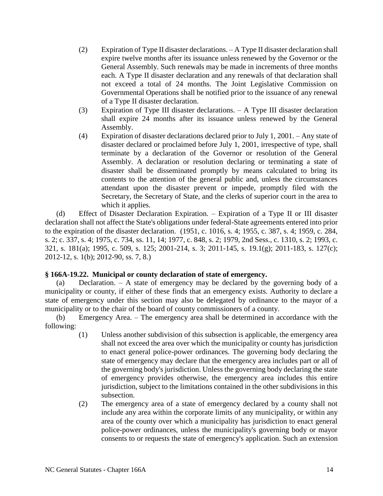- (2) Expiration of Type II disaster declarations. A Type II disaster declaration shall expire twelve months after its issuance unless renewed by the Governor or the General Assembly. Such renewals may be made in increments of three months each. A Type II disaster declaration and any renewals of that declaration shall not exceed a total of 24 months. The Joint Legislative Commission on Governmental Operations shall be notified prior to the issuance of any renewal of a Type II disaster declaration.
- (3) Expiration of Type III disaster declarations. A Type III disaster declaration shall expire 24 months after its issuance unless renewed by the General Assembly.
- (4) Expiration of disaster declarations declared prior to July 1, 2001. Any state of disaster declared or proclaimed before July 1, 2001, irrespective of type, shall terminate by a declaration of the Governor or resolution of the General Assembly. A declaration or resolution declaring or terminating a state of disaster shall be disseminated promptly by means calculated to bring its contents to the attention of the general public and, unless the circumstances attendant upon the disaster prevent or impede, promptly filed with the Secretary, the Secretary of State, and the clerks of superior court in the area to which it applies.

(d) Effect of Disaster Declaration Expiration. – Expiration of a Type II or III disaster declaration shall not affect the State's obligations under federal-State agreements entered into prior to the expiration of the disaster declaration. (1951, c. 1016, s. 4; 1955, c. 387, s. 4; 1959, c. 284, s. 2; c. 337, s. 4; 1975, c. 734, ss. 11, 14; 1977, c. 848, s. 2; 1979, 2nd Sess., c. 1310, s. 2; 1993, c. 321, s. 181(a); 1995, c. 509, s. 125; 2001-214, s. 3; 2011-145, s. 19.1(g); 2011-183, s. 127(c); 2012-12, s. 1(b); 2012-90, ss. 7, 8.)

## **§ 166A-19.22. Municipal or county declaration of state of emergency.**

(a) Declaration. – A state of emergency may be declared by the governing body of a municipality or county, if either of these finds that an emergency exists. Authority to declare a state of emergency under this section may also be delegated by ordinance to the mayor of a municipality or to the chair of the board of county commissioners of a county.

(b) Emergency Area. – The emergency area shall be determined in accordance with the following:

- (1) Unless another subdivision of this subsection is applicable, the emergency area shall not exceed the area over which the municipality or county has jurisdiction to enact general police-power ordinances. The governing body declaring the state of emergency may declare that the emergency area includes part or all of the governing body's jurisdiction. Unless the governing body declaring the state of emergency provides otherwise, the emergency area includes this entire jurisdiction, subject to the limitations contained in the other subdivisions in this subsection.
- (2) The emergency area of a state of emergency declared by a county shall not include any area within the corporate limits of any municipality, or within any area of the county over which a municipality has jurisdiction to enact general police-power ordinances, unless the municipality's governing body or mayor consents to or requests the state of emergency's application. Such an extension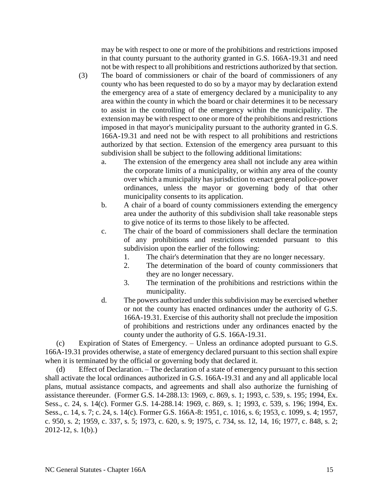may be with respect to one or more of the prohibitions and restrictions imposed in that county pursuant to the authority granted in G.S. 166A-19.31 and need not be with respect to all prohibitions and restrictions authorized by that section.

- (3) The board of commissioners or chair of the board of commissioners of any county who has been requested to do so by a mayor may by declaration extend the emergency area of a state of emergency declared by a municipality to any area within the county in which the board or chair determines it to be necessary to assist in the controlling of the emergency within the municipality. The extension may be with respect to one or more of the prohibitions and restrictions imposed in that mayor's municipality pursuant to the authority granted in G.S. 166A-19.31 and need not be with respect to all prohibitions and restrictions authorized by that section. Extension of the emergency area pursuant to this subdivision shall be subject to the following additional limitations:
	- a. The extension of the emergency area shall not include any area within the corporate limits of a municipality, or within any area of the county over which a municipality has jurisdiction to enact general police-power ordinances, unless the mayor or governing body of that other municipality consents to its application.
	- b. A chair of a board of county commissioners extending the emergency area under the authority of this subdivision shall take reasonable steps to give notice of its terms to those likely to be affected.
	- c. The chair of the board of commissioners shall declare the termination of any prohibitions and restrictions extended pursuant to this subdivision upon the earlier of the following:
		- 1. The chair's determination that they are no longer necessary.
		- 2. The determination of the board of county commissioners that they are no longer necessary.
		- 3. The termination of the prohibitions and restrictions within the municipality.
	- d. The powers authorized under this subdivision may be exercised whether or not the county has enacted ordinances under the authority of G.S. 166A-19.31. Exercise of this authority shall not preclude the imposition of prohibitions and restrictions under any ordinances enacted by the county under the authority of G.S. 166A-19.31.

(c) Expiration of States of Emergency. – Unless an ordinance adopted pursuant to G.S. 166A-19.31 provides otherwise, a state of emergency declared pursuant to this section shall expire when it is terminated by the official or governing body that declared it.

(d) Effect of Declaration. – The declaration of a state of emergency pursuant to this section shall activate the local ordinances authorized in G.S. 166A-19.31 and any and all applicable local plans, mutual assistance compacts, and agreements and shall also authorize the furnishing of assistance thereunder. (Former G.S. 14-288.13: 1969, c. 869, s. 1; 1993, c. 539, s. 195; 1994, Ex. Sess., c. 24, s. 14(c). Former G.S. 14-288.14: 1969, c. 869, s. 1; 1993, c. 539, s. 196; 1994, Ex. Sess., c. 14, s. 7; c. 24, s. 14(c). Former G.S. 166A-8: 1951, c. 1016, s. 6; 1953, c. 1099, s. 4; 1957, c. 950, s. 2; 1959, c. 337, s. 5; 1973, c. 620, s. 9; 1975, c. 734, ss. 12, 14, 16; 1977, c. 848, s. 2; 2012-12, s. 1(b).)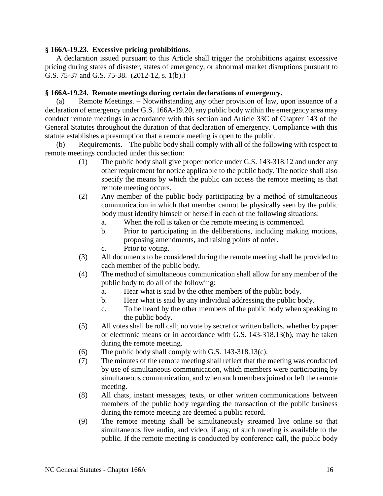## **§ 166A-19.23. Excessive pricing prohibitions.**

A declaration issued pursuant to this Article shall trigger the prohibitions against excessive pricing during states of disaster, states of emergency, or abnormal market disruptions pursuant to G.S. 75-37 and G.S. 75-38. (2012-12, s. 1(b).)

### **§ 166A-19.24. Remote meetings during certain declarations of emergency.**

(a) Remote Meetings. – Notwithstanding any other provision of law, upon issuance of a declaration of emergency under G.S. 166A-19.20, any public body within the emergency area may conduct remote meetings in accordance with this section and Article 33C of Chapter 143 of the General Statutes throughout the duration of that declaration of emergency. Compliance with this statute establishes a presumption that a remote meeting is open to the public.

(b) Requirements. – The public body shall comply with all of the following with respect to remote meetings conducted under this section:

- (1) The public body shall give proper notice under G.S. 143-318.12 and under any other requirement for notice applicable to the public body. The notice shall also specify the means by which the public can access the remote meeting as that remote meeting occurs.
- (2) Any member of the public body participating by a method of simultaneous communication in which that member cannot be physically seen by the public body must identify himself or herself in each of the following situations:
	- a. When the roll is taken or the remote meeting is commenced.
	- b. Prior to participating in the deliberations, including making motions, proposing amendments, and raising points of order.
	- c. Prior to voting.
- (3) All documents to be considered during the remote meeting shall be provided to each member of the public body.
- (4) The method of simultaneous communication shall allow for any member of the public body to do all of the following:
	- a. Hear what is said by the other members of the public body.
	- b. Hear what is said by any individual addressing the public body.
	- c. To be heard by the other members of the public body when speaking to the public body.
- (5) All votes shall be roll call; no vote by secret or written ballots, whether by paper or electronic means or in accordance with G.S. 143-318.13(b), may be taken during the remote meeting.
- (6) The public body shall comply with G.S. 143-318.13(c).
- (7) The minutes of the remote meeting shall reflect that the meeting was conducted by use of simultaneous communication, which members were participating by simultaneous communication, and when such members joined or left the remote meeting.
- (8) All chats, instant messages, texts, or other written communications between members of the public body regarding the transaction of the public business during the remote meeting are deemed a public record.
- (9) The remote meeting shall be simultaneously streamed live online so that simultaneous live audio, and video, if any, of such meeting is available to the public. If the remote meeting is conducted by conference call, the public body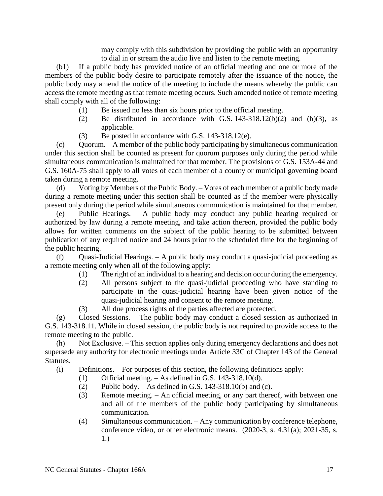may comply with this subdivision by providing the public with an opportunity to dial in or stream the audio live and listen to the remote meeting.

(b1) If a public body has provided notice of an official meeting and one or more of the members of the public body desire to participate remotely after the issuance of the notice, the public body may amend the notice of the meeting to include the means whereby the public can access the remote meeting as that remote meeting occurs. Such amended notice of remote meeting shall comply with all of the following:

- (1) Be issued no less than six hours prior to the official meeting.
- (2) Be distributed in accordance with G.S.  $143-318.12(b)(2)$  and  $(b)(3)$ , as applicable.
- (3) Be posted in accordance with G.S. 143-318.12(e).

(c) Quorum. – A member of the public body participating by simultaneous communication under this section shall be counted as present for quorum purposes only during the period while simultaneous communication is maintained for that member. The provisions of G.S. 153A-44 and G.S. 160A-75 shall apply to all votes of each member of a county or municipal governing board taken during a remote meeting.

(d) Voting by Members of the Public Body. – Votes of each member of a public body made during a remote meeting under this section shall be counted as if the member were physically present only during the period while simultaneous communication is maintained for that member.

(e) Public Hearings. – A public body may conduct any public hearing required or authorized by law during a remote meeting, and take action thereon, provided the public body allows for written comments on the subject of the public hearing to be submitted between publication of any required notice and 24 hours prior to the scheduled time for the beginning of the public hearing.

(f) Quasi-Judicial Hearings. – A public body may conduct a quasi-judicial proceeding as a remote meeting only when all of the following apply:

- (1) The right of an individual to a hearing and decision occur during the emergency.
- (2) All persons subject to the quasi-judicial proceeding who have standing to participate in the quasi-judicial hearing have been given notice of the quasi-judicial hearing and consent to the remote meeting.
- (3) All due process rights of the parties affected are protected.

(g) Closed Sessions. – The public body may conduct a closed session as authorized in G.S. 143-318.11. While in closed session, the public body is not required to provide access to the remote meeting to the public.

(h) Not Exclusive. – This section applies only during emergency declarations and does not supersede any authority for electronic meetings under Article 33C of Chapter 143 of the General Statutes.

(i) Definitions. – For purposes of this section, the following definitions apply:

- (1) Official meeting.  $-$  As defined in G.S. 143-318.10(d).
- (2) Public body. As defined in G.S. 143-318.10(b) and (c).
- (3) Remote meeting. An official meeting, or any part thereof, with between one and all of the members of the public body participating by simultaneous communication.
- (4) Simultaneous communication. Any communication by conference telephone, conference video, or other electronic means. (2020-3, s. 4.31(a); 2021-35, s. 1.)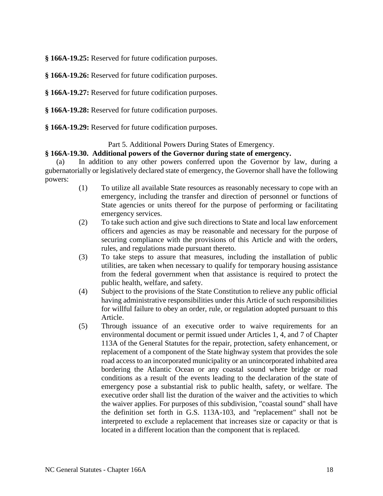**§ 166A-19.25:** Reserved for future codification purposes.

**§ 166A-19.26:** Reserved for future codification purposes.

**§ 166A-19.27:** Reserved for future codification purposes.

**§ 166A-19.28:** Reserved for future codification purposes.

**§ 166A-19.29:** Reserved for future codification purposes.

## Part 5. Additional Powers During States of Emergency.

## **§ 166A-19.30. Additional powers of the Governor during state of emergency.**

(a) In addition to any other powers conferred upon the Governor by law, during a gubernatorially or legislatively declared state of emergency, the Governor shall have the following powers:

- (1) To utilize all available State resources as reasonably necessary to cope with an emergency, including the transfer and direction of personnel or functions of State agencies or units thereof for the purpose of performing or facilitating emergency services.
- (2) To take such action and give such directions to State and local law enforcement officers and agencies as may be reasonable and necessary for the purpose of securing compliance with the provisions of this Article and with the orders, rules, and regulations made pursuant thereto.
- (3) To take steps to assure that measures, including the installation of public utilities, are taken when necessary to qualify for temporary housing assistance from the federal government when that assistance is required to protect the public health, welfare, and safety.
- (4) Subject to the provisions of the State Constitution to relieve any public official having administrative responsibilities under this Article of such responsibilities for willful failure to obey an order, rule, or regulation adopted pursuant to this Article.
- (5) Through issuance of an executive order to waive requirements for an environmental document or permit issued under Articles 1, 4, and 7 of Chapter 113A of the General Statutes for the repair, protection, safety enhancement, or replacement of a component of the State highway system that provides the sole road access to an incorporated municipality or an unincorporated inhabited area bordering the Atlantic Ocean or any coastal sound where bridge or road conditions as a result of the events leading to the declaration of the state of emergency pose a substantial risk to public health, safety, or welfare. The executive order shall list the duration of the waiver and the activities to which the waiver applies. For purposes of this subdivision, "coastal sound" shall have the definition set forth in G.S. 113A-103, and "replacement" shall not be interpreted to exclude a replacement that increases size or capacity or that is located in a different location than the component that is replaced.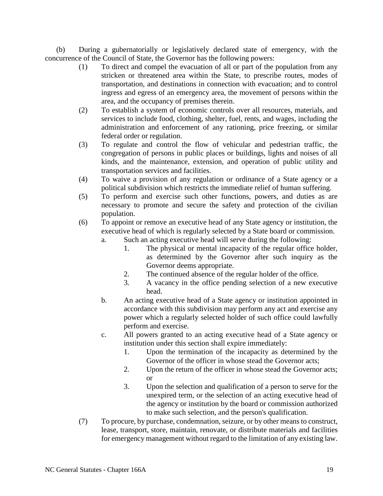(b) During a gubernatorially or legislatively declared state of emergency, with the concurrence of the Council of State, the Governor has the following powers:

- (1) To direct and compel the evacuation of all or part of the population from any stricken or threatened area within the State, to prescribe routes, modes of transportation, and destinations in connection with evacuation; and to control ingress and egress of an emergency area, the movement of persons within the area, and the occupancy of premises therein.
- (2) To establish a system of economic controls over all resources, materials, and services to include food, clothing, shelter, fuel, rents, and wages, including the administration and enforcement of any rationing, price freezing, or similar federal order or regulation.
- (3) To regulate and control the flow of vehicular and pedestrian traffic, the congregation of persons in public places or buildings, lights and noises of all kinds, and the maintenance, extension, and operation of public utility and transportation services and facilities.
- (4) To waive a provision of any regulation or ordinance of a State agency or a political subdivision which restricts the immediate relief of human suffering.
- (5) To perform and exercise such other functions, powers, and duties as are necessary to promote and secure the safety and protection of the civilian population.
- (6) To appoint or remove an executive head of any State agency or institution, the executive head of which is regularly selected by a State board or commission.
	- a. Such an acting executive head will serve during the following:
		- 1. The physical or mental incapacity of the regular office holder, as determined by the Governor after such inquiry as the Governor deems appropriate.
		- 2. The continued absence of the regular holder of the office.
		- 3. A vacancy in the office pending selection of a new executive head.
	- b. An acting executive head of a State agency or institution appointed in accordance with this subdivision may perform any act and exercise any power which a regularly selected holder of such office could lawfully perform and exercise.
	- c. All powers granted to an acting executive head of a State agency or institution under this section shall expire immediately:
		- 1. Upon the termination of the incapacity as determined by the Governor of the officer in whose stead the Governor acts;
		- 2. Upon the return of the officer in whose stead the Governor acts; or
		- 3. Upon the selection and qualification of a person to serve for the unexpired term, or the selection of an acting executive head of the agency or institution by the board or commission authorized to make such selection, and the person's qualification.
- (7) To procure, by purchase, condemnation, seizure, or by other means to construct, lease, transport, store, maintain, renovate, or distribute materials and facilities for emergency management without regard to the limitation of any existing law.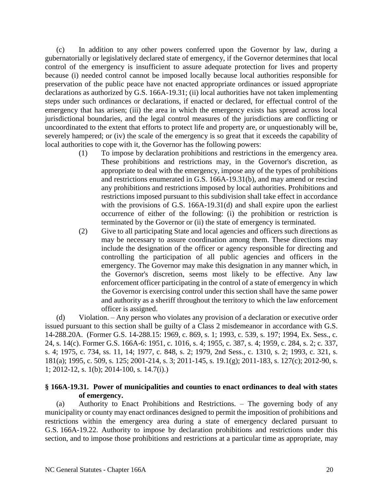(c) In addition to any other powers conferred upon the Governor by law, during a gubernatorially or legislatively declared state of emergency, if the Governor determines that local control of the emergency is insufficient to assure adequate protection for lives and property because (i) needed control cannot be imposed locally because local authorities responsible for preservation of the public peace have not enacted appropriate ordinances or issued appropriate declarations as authorized by G.S. 166A-19.31; (ii) local authorities have not taken implementing steps under such ordinances or declarations, if enacted or declared, for effectual control of the emergency that has arisen; (iii) the area in which the emergency exists has spread across local jurisdictional boundaries, and the legal control measures of the jurisdictions are conflicting or uncoordinated to the extent that efforts to protect life and property are, or unquestionably will be, severely hampered; or (iv) the scale of the emergency is so great that it exceeds the capability of local authorities to cope with it, the Governor has the following powers:

- (1) To impose by declaration prohibitions and restrictions in the emergency area. These prohibitions and restrictions may, in the Governor's discretion, as appropriate to deal with the emergency, impose any of the types of prohibitions and restrictions enumerated in G.S. 166A-19.31(b), and may amend or rescind any prohibitions and restrictions imposed by local authorities. Prohibitions and restrictions imposed pursuant to this subdivision shall take effect in accordance with the provisions of G.S. 166A-19.31(d) and shall expire upon the earliest occurrence of either of the following: (i) the prohibition or restriction is terminated by the Governor or (ii) the state of emergency is terminated.
- (2) Give to all participating State and local agencies and officers such directions as may be necessary to assure coordination among them. These directions may include the designation of the officer or agency responsible for directing and controlling the participation of all public agencies and officers in the emergency. The Governor may make this designation in any manner which, in the Governor's discretion, seems most likely to be effective. Any law enforcement officer participating in the control of a state of emergency in which the Governor is exercising control under this section shall have the same power and authority as a sheriff throughout the territory to which the law enforcement officer is assigned.

(d) Violation. – Any person who violates any provision of a declaration or executive order issued pursuant to this section shall be guilty of a Class 2 misdemeanor in accordance with G.S. 14-288.20A. (Former G.S. 14-288.15: 1969, c. 869, s. 1; 1993, c. 539, s. 197; 1994, Ex. Sess., c. 24, s. 14(c). Former G.S. 166A-6: 1951, c. 1016, s. 4; 1955, c. 387, s. 4; 1959, c. 284, s. 2; c. 337, s. 4; 1975, c. 734, ss. 11, 14; 1977, c. 848, s. 2; 1979, 2nd Sess., c. 1310, s. 2; 1993, c. 321, s. 181(a); 1995, c. 509, s. 125; 2001-214, s. 3; 2011-145, s. 19.1(g); 2011-183, s. 127(c); 2012-90, s. 1; 2012-12, s. 1(b); 2014-100, s. 14.7(i).)

## **§ 166A-19.31. Power of municipalities and counties to enact ordinances to deal with states of emergency.**

(a) Authority to Enact Prohibitions and Restrictions. – The governing body of any municipality or county may enact ordinances designed to permit the imposition of prohibitions and restrictions within the emergency area during a state of emergency declared pursuant to G.S. 166A-19.22. Authority to impose by declaration prohibitions and restrictions under this section, and to impose those prohibitions and restrictions at a particular time as appropriate, may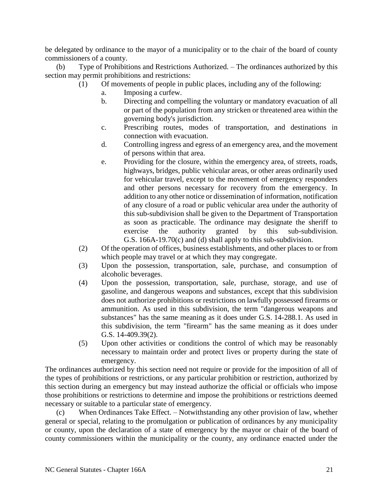be delegated by ordinance to the mayor of a municipality or to the chair of the board of county commissioners of a county.

(b) Type of Prohibitions and Restrictions Authorized. – The ordinances authorized by this section may permit prohibitions and restrictions:

- (1) Of movements of people in public places, including any of the following:
	- a. Imposing a curfew.
		- b. Directing and compelling the voluntary or mandatory evacuation of all or part of the population from any stricken or threatened area within the governing body's jurisdiction.
	- c. Prescribing routes, modes of transportation, and destinations in connection with evacuation.
	- d. Controlling ingress and egress of an emergency area, and the movement of persons within that area.
	- e. Providing for the closure, within the emergency area, of streets, roads, highways, bridges, public vehicular areas, or other areas ordinarily used for vehicular travel, except to the movement of emergency responders and other persons necessary for recovery from the emergency. In addition to any other notice or dissemination of information, notification of any closure of a road or public vehicular area under the authority of this sub-subdivision shall be given to the Department of Transportation as soon as practicable. The ordinance may designate the sheriff to exercise the authority granted by this sub-subdivision. G.S. 166A-19.70(c) and (d) shall apply to this sub-subdivision.
- (2) Of the operation of offices, business establishments, and other places to or from which people may travel or at which they may congregate.
- (3) Upon the possession, transportation, sale, purchase, and consumption of alcoholic beverages.
- (4) Upon the possession, transportation, sale, purchase, storage, and use of gasoline, and dangerous weapons and substances, except that this subdivision does not authorize prohibitions or restrictions on lawfully possessed firearms or ammunition. As used in this subdivision, the term "dangerous weapons and substances" has the same meaning as it does under G.S. 14-288.1. As used in this subdivision, the term "firearm" has the same meaning as it does under G.S. 14-409.39(2).
- (5) Upon other activities or conditions the control of which may be reasonably necessary to maintain order and protect lives or property during the state of emergency.

The ordinances authorized by this section need not require or provide for the imposition of all of the types of prohibitions or restrictions, or any particular prohibition or restriction, authorized by this section during an emergency but may instead authorize the official or officials who impose those prohibitions or restrictions to determine and impose the prohibitions or restrictions deemed necessary or suitable to a particular state of emergency.

(c) When Ordinances Take Effect. – Notwithstanding any other provision of law, whether general or special, relating to the promulgation or publication of ordinances by any municipality or county, upon the declaration of a state of emergency by the mayor or chair of the board of county commissioners within the municipality or the county, any ordinance enacted under the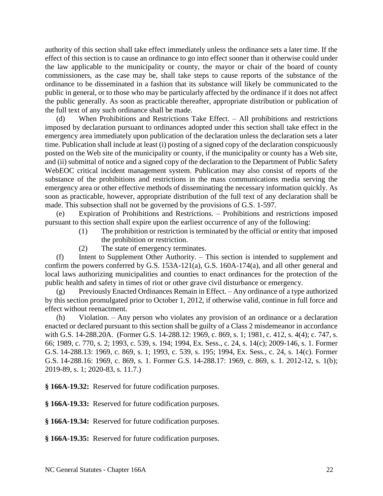authority of this section shall take effect immediately unless the ordinance sets a later time. If the effect of this section is to cause an ordinance to go into effect sooner than it otherwise could under the law applicable to the municipality or county, the mayor or chair of the board of county commissioners, as the case may be, shall take steps to cause reports of the substance of the ordinance to be disseminated in a fashion that its substance will likely be communicated to the public in general, or to those who may be particularly affected by the ordinance if it does not affect the public generally. As soon as practicable thereafter, appropriate distribution or publication of the full text of any such ordinance shall be made.

(d) When Prohibitions and Restrictions Take Effect. – All prohibitions and restrictions imposed by declaration pursuant to ordinances adopted under this section shall take effect in the emergency area immediately upon publication of the declaration unless the declaration sets a later time. Publication shall include at least (i) posting of a signed copy of the declaration conspicuously posted on the Web site of the municipality or county, if the municipality or county has a Web site, and (ii) submittal of notice and a signed copy of the declaration to the Department of Public Safety WebEOC critical incident management system. Publication may also consist of reports of the substance of the prohibitions and restrictions in the mass communications media serving the emergency area or other effective methods of disseminating the necessary information quickly. As soon as practicable, however, appropriate distribution of the full text of any declaration shall be made. This subsection shall not be governed by the provisions of G.S. 1-597.

(e) Expiration of Prohibitions and Restrictions. – Prohibitions and restrictions imposed pursuant to this section shall expire upon the earliest occurrence of any of the following:

- (1) The prohibition or restriction is terminated by the official or entity that imposed the prohibition or restriction.
- (2) The state of emergency terminates.

(f) Intent to Supplement Other Authority. – This section is intended to supplement and confirm the powers conferred by G.S. 153A-121(a), G.S. 160A-174(a), and all other general and local laws authorizing municipalities and counties to enact ordinances for the protection of the public health and safety in times of riot or other grave civil disturbance or emergency.

(g) Previously Enacted Ordinances Remain in Effect. – Any ordinance of a type authorized by this section promulgated prior to October 1, 2012, if otherwise valid, continue in full force and effect without reenactment.

(h) Violation. – Any person who violates any provision of an ordinance or a declaration enacted or declared pursuant to this section shall be guilty of a Class 2 misdemeanor in accordance with G.S. 14-288.20A. (Former G.S. 14-288.12: 1969, c. 869, s. 1; 1981, c. 412, s. 4(4); c. 747, s. 66; 1989, c. 770, s. 2; 1993, c. 539, s. 194; 1994, Ex. Sess., c. 24, s. 14(c); 2009-146, s. 1. Former G.S. 14-288.13: 1969, c. 869, s. 1; 1993, c. 539, s. 195; 1994, Ex. Sess., c. 24, s. 14(c). Former G.S. 14-288.16: 1969, c. 869, s. 1. Former G.S. 14-288.17: 1969, c. 869, s. 1. 2012-12, s. 1(b); 2019-89, s. 1; 2020-83, s. 11.7.)

**§ 166A-19.32:** Reserved for future codification purposes.

**§ 166A-19.33:** Reserved for future codification purposes.

**§ 166A-19.34:** Reserved for future codification purposes.

**§ 166A-19.35:** Reserved for future codification purposes.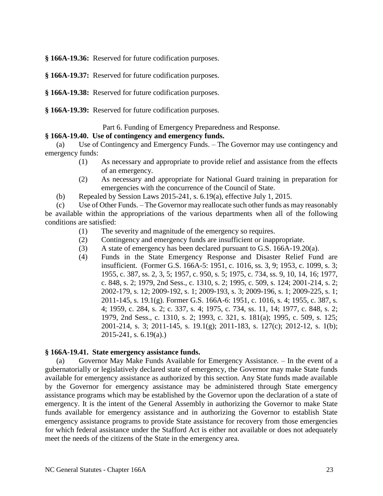**§ 166A-19.36:** Reserved for future codification purposes.

- **§ 166A-19.37:** Reserved for future codification purposes.
- **§ 166A-19.38:** Reserved for future codification purposes.
- **§ 166A-19.39:** Reserved for future codification purposes.

Part 6. Funding of Emergency Preparedness and Response.

### **§ 166A-19.40. Use of contingency and emergency funds.**

(a) Use of Contingency and Emergency Funds. – The Governor may use contingency and emergency funds:

- (1) As necessary and appropriate to provide relief and assistance from the effects of an emergency.
- (2) As necessary and appropriate for National Guard training in preparation for emergencies with the concurrence of the Council of State.
- (b) Repealed by Session Laws 2015-241, s. 6.19(a), effective July 1, 2015.

(c) Use of Other Funds. – The Governor may reallocate such other funds as may reasonably be available within the appropriations of the various departments when all of the following conditions are satisfied:

- (1) The severity and magnitude of the emergency so requires.
- (2) Contingency and emergency funds are insufficient or inappropriate.
- (3) A state of emergency has been declared pursuant to G.S. 166A-19.20(a).
- (4) Funds in the State Emergency Response and Disaster Relief Fund are insufficient. (Former G.S. 166A-5: 1951, c. 1016, ss. 3, 9; 1953, c. 1099, s. 3; 1955, c. 387, ss. 2, 3, 5; 1957, c. 950, s. 5; 1975, c. 734, ss. 9, 10, 14, 16; 1977, c. 848, s. 2; 1979, 2nd Sess., c. 1310, s. 2; 1995, c. 509, s. 124; 2001-214, s. 2; 2002-179, s. 12; 2009-192, s. 1; 2009-193, s. 3; 2009-196, s. 1; 2009-225, s. 1; 2011-145, s. 19.1(g). Former G.S. 166A-6: 1951, c. 1016, s. 4; 1955, c. 387, s. 4; 1959, c. 284, s. 2; c. 337, s. 4; 1975, c. 734, ss. 11, 14; 1977, c. 848, s. 2; 1979, 2nd Sess., c. 1310, s. 2; 1993, c. 321, s. 181(a); 1995, c. 509, s. 125; 2001-214, s. 3; 2011-145, s. 19.1(g); 2011-183, s. 127(c); 2012-12, s. 1(b); 2015-241, s. 6.19(a).)

#### **§ 166A-19.41. State emergency assistance funds.**

(a) Governor May Make Funds Available for Emergency Assistance. – In the event of a gubernatorially or legislatively declared state of emergency, the Governor may make State funds available for emergency assistance as authorized by this section. Any State funds made available by the Governor for emergency assistance may be administered through State emergency assistance programs which may be established by the Governor upon the declaration of a state of emergency. It is the intent of the General Assembly in authorizing the Governor to make State funds available for emergency assistance and in authorizing the Governor to establish State emergency assistance programs to provide State assistance for recovery from those emergencies for which federal assistance under the Stafford Act is either not available or does not adequately meet the needs of the citizens of the State in the emergency area.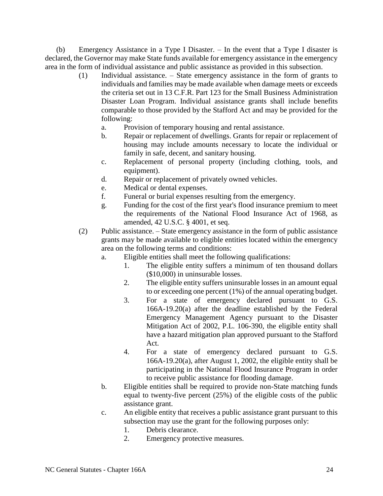(b) Emergency Assistance in a Type I Disaster. – In the event that a Type I disaster is declared, the Governor may make State funds available for emergency assistance in the emergency area in the form of individual assistance and public assistance as provided in this subsection.

- (1) Individual assistance. State emergency assistance in the form of grants to individuals and families may be made available when damage meets or exceeds the criteria set out in 13 C.F.R. Part 123 for the Small Business Administration Disaster Loan Program. Individual assistance grants shall include benefits comparable to those provided by the Stafford Act and may be provided for the following:
	- a. Provision of temporary housing and rental assistance.
	- b. Repair or replacement of dwellings. Grants for repair or replacement of housing may include amounts necessary to locate the individual or family in safe, decent, and sanitary housing.
	- c. Replacement of personal property (including clothing, tools, and equipment).
	- d. Repair or replacement of privately owned vehicles.
	- e. Medical or dental expenses.
	- f. Funeral or burial expenses resulting from the emergency.
	- g. Funding for the cost of the first year's flood insurance premium to meet the requirements of the National Flood Insurance Act of 1968, as amended, 42 U.S.C. § 4001, et seq.
- (2) Public assistance. State emergency assistance in the form of public assistance grants may be made available to eligible entities located within the emergency area on the following terms and conditions:
	- a. Eligible entities shall meet the following qualifications:
		- 1. The eligible entity suffers a minimum of ten thousand dollars (\$10,000) in uninsurable losses.
		- 2. The eligible entity suffers uninsurable losses in an amount equal to or exceeding one percent (1%) of the annual operating budget.
		- 3. For a state of emergency declared pursuant to G.S. 166A-19.20(a) after the deadline established by the Federal Emergency Management Agency pursuant to the Disaster Mitigation Act of 2002, P.L. 106-390, the eligible entity shall have a hazard mitigation plan approved pursuant to the Stafford Act.
		- 4. For a state of emergency declared pursuant to G.S. 166A-19.20(a), after August 1, 2002, the eligible entity shall be participating in the National Flood Insurance Program in order to receive public assistance for flooding damage.
	- b. Eligible entities shall be required to provide non-State matching funds equal to twenty-five percent (25%) of the eligible costs of the public assistance grant.
	- c. An eligible entity that receives a public assistance grant pursuant to this subsection may use the grant for the following purposes only:
		- 1. Debris clearance.
		- 2. Emergency protective measures.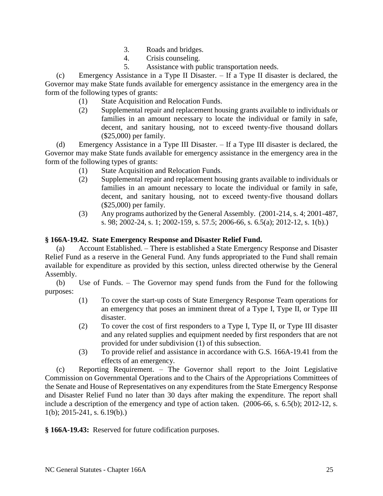- 3. Roads and bridges.
- 4. Crisis counseling.
- 5. Assistance with public transportation needs.

(c) Emergency Assistance in a Type II Disaster. – If a Type II disaster is declared, the Governor may make State funds available for emergency assistance in the emergency area in the form of the following types of grants:

- (1) State Acquisition and Relocation Funds.
- (2) Supplemental repair and replacement housing grants available to individuals or families in an amount necessary to locate the individual or family in safe, decent, and sanitary housing, not to exceed twenty-five thousand dollars (\$25,000) per family.

(d) Emergency Assistance in a Type III Disaster. – If a Type III disaster is declared, the Governor may make State funds available for emergency assistance in the emergency area in the form of the following types of grants:

- (1) State Acquisition and Relocation Funds.
- (2) Supplemental repair and replacement housing grants available to individuals or families in an amount necessary to locate the individual or family in safe, decent, and sanitary housing, not to exceed twenty-five thousand dollars (\$25,000) per family.
- (3) Any programs authorized by the General Assembly. (2001-214, s. 4; 2001-487, s. 98; 2002-24, s. 1; 2002-159, s. 57.5; 2006-66, s. 6.5(a); 2012-12, s. 1(b).)

# **§ 166A-19.42. State Emergency Response and Disaster Relief Fund.**

(a) Account Established. – There is established a State Emergency Response and Disaster Relief Fund as a reserve in the General Fund. Any funds appropriated to the Fund shall remain available for expenditure as provided by this section, unless directed otherwise by the General Assembly.

(b) Use of Funds. – The Governor may spend funds from the Fund for the following purposes:

- (1) To cover the start-up costs of State Emergency Response Team operations for an emergency that poses an imminent threat of a Type I, Type II, or Type III disaster.
- (2) To cover the cost of first responders to a Type I, Type II, or Type III disaster and any related supplies and equipment needed by first responders that are not provided for under subdivision (1) of this subsection.
- (3) To provide relief and assistance in accordance with G.S. 166A-19.41 from the effects of an emergency.

(c) Reporting Requirement. – The Governor shall report to the Joint Legislative Commission on Governmental Operations and to the Chairs of the Appropriations Committees of the Senate and House of Representatives on any expenditures from the State Emergency Response and Disaster Relief Fund no later than 30 days after making the expenditure. The report shall include a description of the emergency and type of action taken. (2006-66, s. 6.5(b); 2012-12, s. 1(b); 2015-241, s. 6.19(b).)

**§ 166A-19.43:** Reserved for future codification purposes.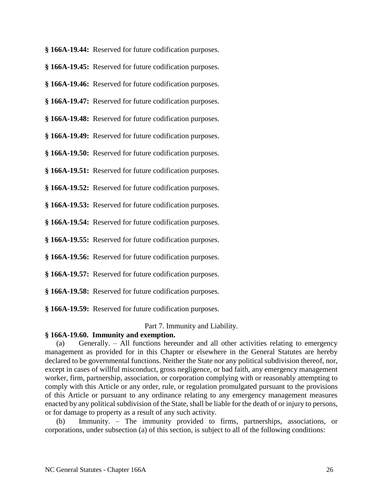**§ 166A-19.44:** Reserved for future codification purposes.

**§ 166A-19.45:** Reserved for future codification purposes.

**§ 166A-19.46:** Reserved for future codification purposes.

**§ 166A-19.47:** Reserved for future codification purposes.

**§ 166A-19.48:** Reserved for future codification purposes.

**§ 166A-19.49:** Reserved for future codification purposes.

**§ 166A-19.50:** Reserved for future codification purposes.

**§ 166A-19.51:** Reserved for future codification purposes.

**§ 166A-19.52:** Reserved for future codification purposes.

**§ 166A-19.53:** Reserved for future codification purposes.

**§ 166A-19.54:** Reserved for future codification purposes.

**§ 166A-19.55:** Reserved for future codification purposes.

**§ 166A-19.56:** Reserved for future codification purposes.

**§ 166A-19.57:** Reserved for future codification purposes.

**§ 166A-19.58:** Reserved for future codification purposes.

**§ 166A-19.59:** Reserved for future codification purposes.

Part 7. Immunity and Liability.

## **§ 166A-19.60. Immunity and exemption.**

(a) Generally. – All functions hereunder and all other activities relating to emergency management as provided for in this Chapter or elsewhere in the General Statutes are hereby declared to be governmental functions. Neither the State nor any political subdivision thereof, nor, except in cases of willful misconduct, gross negligence, or bad faith, any emergency management worker, firm, partnership, association, or corporation complying with or reasonably attempting to comply with this Article or any order, rule, or regulation promulgated pursuant to the provisions of this Article or pursuant to any ordinance relating to any emergency management measures enacted by any political subdivision of the State, shall be liable for the death of or injury to persons, or for damage to property as a result of any such activity.

Immunity. – The immunity provided to firms, partnerships, associations, or corporations, under subsection (a) of this section, is subject to all of the following conditions: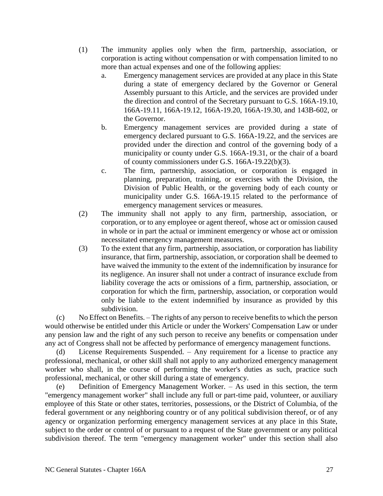- (1) The immunity applies only when the firm, partnership, association, or corporation is acting without compensation or with compensation limited to no more than actual expenses and one of the following applies:
	- a. Emergency management services are provided at any place in this State during a state of emergency declared by the Governor or General Assembly pursuant to this Article, and the services are provided under the direction and control of the Secretary pursuant to G.S. 166A-19.10, 166A-19.11, 166A-19.12, 166A-19.20, 166A-19.30, and 143B-602, or the Governor.
	- b. Emergency management services are provided during a state of emergency declared pursuant to G.S. 166A-19.22, and the services are provided under the direction and control of the governing body of a municipality or county under G.S. 166A-19.31, or the chair of a board of county commissioners under G.S. 166A-19.22(b)(3).
	- c. The firm, partnership, association, or corporation is engaged in planning, preparation, training, or exercises with the Division, the Division of Public Health, or the governing body of each county or municipality under G.S. 166A-19.15 related to the performance of emergency management services or measures.
- (2) The immunity shall not apply to any firm, partnership, association, or corporation, or to any employee or agent thereof, whose act or omission caused in whole or in part the actual or imminent emergency or whose act or omission necessitated emergency management measures.
- (3) To the extent that any firm, partnership, association, or corporation has liability insurance, that firm, partnership, association, or corporation shall be deemed to have waived the immunity to the extent of the indemnification by insurance for its negligence. An insurer shall not under a contract of insurance exclude from liability coverage the acts or omissions of a firm, partnership, association, or corporation for which the firm, partnership, association, or corporation would only be liable to the extent indemnified by insurance as provided by this subdivision.

(c) No Effect on Benefits. – The rights of any person to receive benefits to which the person would otherwise be entitled under this Article or under the Workers' Compensation Law or under any pension law and the right of any such person to receive any benefits or compensation under any act of Congress shall not be affected by performance of emergency management functions.

License Requirements Suspended. – Any requirement for a license to practice any professional, mechanical, or other skill shall not apply to any authorized emergency management worker who shall, in the course of performing the worker's duties as such, practice such professional, mechanical, or other skill during a state of emergency.

(e) Definition of Emergency Management Worker. – As used in this section, the term "emergency management worker" shall include any full or part-time paid, volunteer, or auxiliary employee of this State or other states, territories, possessions, or the District of Columbia, of the federal government or any neighboring country or of any political subdivision thereof, or of any agency or organization performing emergency management services at any place in this State, subject to the order or control of or pursuant to a request of the State government or any political subdivision thereof. The term "emergency management worker" under this section shall also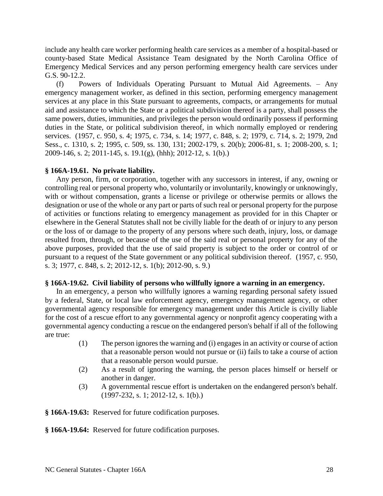include any health care worker performing health care services as a member of a hospital-based or county-based State Medical Assistance Team designated by the North Carolina Office of Emergency Medical Services and any person performing emergency health care services under G.S. 90-12.2.

(f) Powers of Individuals Operating Pursuant to Mutual Aid Agreements. – Any emergency management worker, as defined in this section, performing emergency management services at any place in this State pursuant to agreements, compacts, or arrangements for mutual aid and assistance to which the State or a political subdivision thereof is a party, shall possess the same powers, duties, immunities, and privileges the person would ordinarily possess if performing duties in the State, or political subdivision thereof, in which normally employed or rendering services. (1957, c. 950, s. 4; 1975, c. 734, s. 14; 1977, c. 848, s. 2; 1979, c. 714, s. 2; 1979, 2nd Sess., c. 1310, s. 2; 1995, c. 509, ss. 130, 131; 2002-179, s. 20(b); 2006-81, s. 1; 2008-200, s. 1; 2009-146, s. 2; 2011-145, s. 19.1(g), (hhh); 2012-12, s. 1(b).)

## **§ 166A-19.61. No private liability.**

Any person, firm, or corporation, together with any successors in interest, if any, owning or controlling real or personal property who, voluntarily or involuntarily, knowingly or unknowingly, with or without compensation, grants a license or privilege or otherwise permits or allows the designation or use of the whole or any part or parts of such real or personal property for the purpose of activities or functions relating to emergency management as provided for in this Chapter or elsewhere in the General Statutes shall not be civilly liable for the death of or injury to any person or the loss of or damage to the property of any persons where such death, injury, loss, or damage resulted from, through, or because of the use of the said real or personal property for any of the above purposes, provided that the use of said property is subject to the order or control of or pursuant to a request of the State government or any political subdivision thereof. (1957, c. 950, s. 3; 1977, c. 848, s. 2; 2012-12, s. 1(b); 2012-90, s. 9.)

## **§ 166A-19.62. Civil liability of persons who willfully ignore a warning in an emergency.**

In an emergency, a person who willfully ignores a warning regarding personal safety issued by a federal, State, or local law enforcement agency, emergency management agency, or other governmental agency responsible for emergency management under this Article is civilly liable for the cost of a rescue effort to any governmental agency or nonprofit agency cooperating with a governmental agency conducting a rescue on the endangered person's behalf if all of the following are true:

- (1) The person ignores the warning and (i) engages in an activity or course of action that a reasonable person would not pursue or (ii) fails to take a course of action that a reasonable person would pursue.
- (2) As a result of ignoring the warning, the person places himself or herself or another in danger.
- (3) A governmental rescue effort is undertaken on the endangered person's behalf. (1997-232, s. 1; 2012-12, s. 1(b).)

**§ 166A-19.63:** Reserved for future codification purposes.

**§ 166A-19.64:** Reserved for future codification purposes.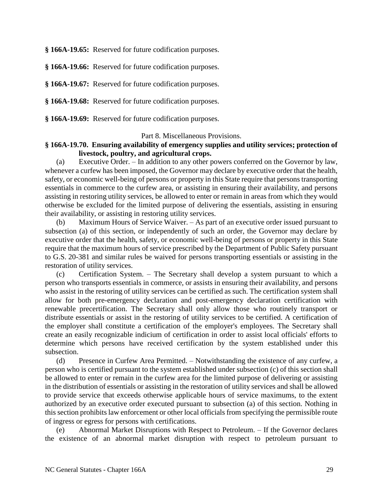**§ 166A-19.65:** Reserved for future codification purposes.

**§ 166A-19.66:** Reserved for future codification purposes.

**§ 166A-19.67:** Reserved for future codification purposes.

**§ 166A-19.68:** Reserved for future codification purposes.

**§ 166A-19.69:** Reserved for future codification purposes.

#### Part 8. Miscellaneous Provisions.

## **§ 166A-19.70. Ensuring availability of emergency supplies and utility services; protection of livestock, poultry, and agricultural crops.**

(a) Executive Order. – In addition to any other powers conferred on the Governor by law, whenever a curfew has been imposed, the Governor may declare by executive order that the health, safety, or economic well-being of persons or property in this State require that persons transporting essentials in commerce to the curfew area, or assisting in ensuring their availability, and persons assisting in restoring utility services, be allowed to enter or remain in areas from which they would otherwise be excluded for the limited purpose of delivering the essentials, assisting in ensuring their availability, or assisting in restoring utility services.

(b) Maximum Hours of Service Waiver. – As part of an executive order issued pursuant to subsection (a) of this section, or independently of such an order, the Governor may declare by executive order that the health, safety, or economic well-being of persons or property in this State require that the maximum hours of service prescribed by the Department of Public Safety pursuant to G.S. 20-381 and similar rules be waived for persons transporting essentials or assisting in the restoration of utility services.

(c) Certification System. – The Secretary shall develop a system pursuant to which a person who transports essentials in commerce, or assists in ensuring their availability, and persons who assist in the restoring of utility services can be certified as such. The certification system shall allow for both pre-emergency declaration and post-emergency declaration certification with renewable precertification. The Secretary shall only allow those who routinely transport or distribute essentials or assist in the restoring of utility services to be certified. A certification of the employer shall constitute a certification of the employer's employees. The Secretary shall create an easily recognizable indicium of certification in order to assist local officials' efforts to determine which persons have received certification by the system established under this subsection.

(d) Presence in Curfew Area Permitted. – Notwithstanding the existence of any curfew, a person who is certified pursuant to the system established under subsection (c) of this section shall be allowed to enter or remain in the curfew area for the limited purpose of delivering or assisting in the distribution of essentials or assisting in the restoration of utility services and shall be allowed to provide service that exceeds otherwise applicable hours of service maximums, to the extent authorized by an executive order executed pursuant to subsection (a) of this section. Nothing in this section prohibits law enforcement or other local officials from specifying the permissible route of ingress or egress for persons with certifications.

(e) Abnormal Market Disruptions with Respect to Petroleum. – If the Governor declares the existence of an abnormal market disruption with respect to petroleum pursuant to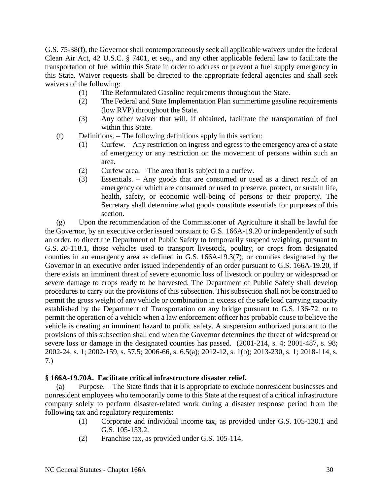G.S. 75-38(f), the Governor shall contemporaneously seek all applicable waivers under the federal Clean Air Act, 42 U.S.C. § 7401, et seq., and any other applicable federal law to facilitate the transportation of fuel within this State in order to address or prevent a fuel supply emergency in this State. Waiver requests shall be directed to the appropriate federal agencies and shall seek waivers of the following:

- (1) The Reformulated Gasoline requirements throughout the State.
- (2) The Federal and State Implementation Plan summertime gasoline requirements (low RVP) throughout the State.
- (3) Any other waiver that will, if obtained, facilitate the transportation of fuel within this State.
- (f) Definitions. The following definitions apply in this section:
	- (1) Curfew. Any restriction on ingress and egress to the emergency area of a state of emergency or any restriction on the movement of persons within such an area.
	- (2) Curfew area. The area that is subject to a curfew.
	- (3) Essentials. Any goods that are consumed or used as a direct result of an emergency or which are consumed or used to preserve, protect, or sustain life, health, safety, or economic well-being of persons or their property. The Secretary shall determine what goods constitute essentials for purposes of this section.

(g) Upon the recommendation of the Commissioner of Agriculture it shall be lawful for the Governor, by an executive order issued pursuant to G.S. 166A-19.20 or independently of such an order, to direct the Department of Public Safety to temporarily suspend weighing, pursuant to G.S. 20-118.1, those vehicles used to transport livestock, poultry, or crops from designated counties in an emergency area as defined in G.S. 166A-19.3(7), or counties designated by the Governor in an executive order issued independently of an order pursuant to G.S. 166A-19.20, if there exists an imminent threat of severe economic loss of livestock or poultry or widespread or severe damage to crops ready to be harvested. The Department of Public Safety shall develop procedures to carry out the provisions of this subsection. This subsection shall not be construed to permit the gross weight of any vehicle or combination in excess of the safe load carrying capacity established by the Department of Transportation on any bridge pursuant to G.S. 136-72, or to permit the operation of a vehicle when a law enforcement officer has probable cause to believe the vehicle is creating an imminent hazard to public safety. A suspension authorized pursuant to the provisions of this subsection shall end when the Governor determines the threat of widespread or severe loss or damage in the designated counties has passed. (2001-214, s. 4; 2001-487, s. 98; 2002-24, s. 1; 2002-159, s. 57.5; 2006-66, s. 6.5(a); 2012-12, s. 1(b); 2013-230, s. 1; 2018-114, s. 7.)

## **§ 166A-19.70A. Facilitate critical infrastructure disaster relief.**

(a) Purpose. – The State finds that it is appropriate to exclude nonresident businesses and nonresident employees who temporarily come to this State at the request of a critical infrastructure company solely to perform disaster-related work during a disaster response period from the following tax and regulatory requirements:

- (1) Corporate and individual income tax, as provided under G.S. 105-130.1 and G.S. 105-153.2.
- (2) Franchise tax, as provided under G.S. 105-114.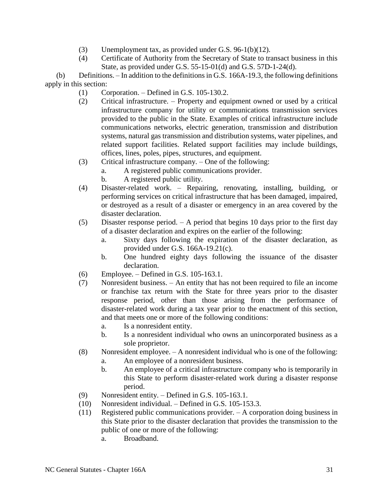- (3) Unemployment tax, as provided under G.S. 96-1(b)(12).
- (4) Certificate of Authority from the Secretary of State to transact business in this State, as provided under G.S. 55-15-01(d) and G.S. 57D-1-24(d).

(b) Definitions. – In addition to the definitions in G.S. 166A-19.3, the following definitions apply in this section:

- (1) Corporation. Defined in G.S. 105-130.2.
- (2) Critical infrastructure. Property and equipment owned or used by a critical infrastructure company for utility or communications transmission services provided to the public in the State. Examples of critical infrastructure include communications networks, electric generation, transmission and distribution systems, natural gas transmission and distribution systems, water pipelines, and related support facilities. Related support facilities may include buildings, offices, lines, poles, pipes, structures, and equipment.
- (3) Critical infrastructure company. One of the following:
	- a. A registered public communications provider.
	- b. A registered public utility.
- (4) Disaster-related work. Repairing, renovating, installing, building, or performing services on critical infrastructure that has been damaged, impaired, or destroyed as a result of a disaster or emergency in an area covered by the disaster declaration.
- (5) Disaster response period. A period that begins 10 days prior to the first day of a disaster declaration and expires on the earlier of the following:
	- a. Sixty days following the expiration of the disaster declaration, as provided under G.S. 166A-19.21(c).
	- b. One hundred eighty days following the issuance of the disaster declaration.
- (6) Employee. Defined in G.S. 105-163.1.
- (7) Nonresident business. An entity that has not been required to file an income or franchise tax return with the State for three years prior to the disaster response period, other than those arising from the performance of disaster-related work during a tax year prior to the enactment of this section, and that meets one or more of the following conditions:
	- a. Is a nonresident entity.
	- b. Is a nonresident individual who owns an unincorporated business as a sole proprietor.
- (8) Nonresident employee. A nonresident individual who is one of the following:
	- a. An employee of a nonresident business.
	- b. An employee of a critical infrastructure company who is temporarily in this State to perform disaster-related work during a disaster response period.
- (9) Nonresident entity. Defined in G.S. 105-163.1.
- (10) Nonresident individual. Defined in G.S. 105-153.3.
- (11) Registered public communications provider. A corporation doing business in this State prior to the disaster declaration that provides the transmission to the public of one or more of the following:
	- a. Broadband.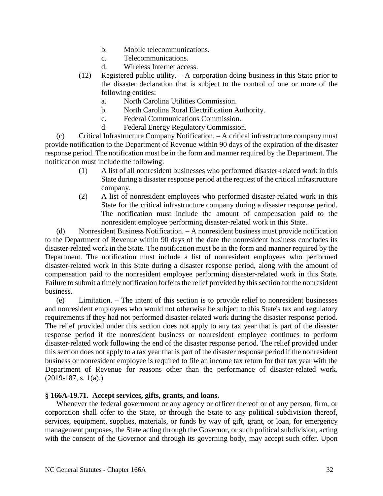- b. Mobile telecommunications.
- c. Telecommunications.
- d. Wireless Internet access.
- (12) Registered public utility. A corporation doing business in this State prior to the disaster declaration that is subject to the control of one or more of the following entities:
	- a. North Carolina Utilities Commission.
	- b. North Carolina Rural Electrification Authority.
	- c. Federal Communications Commission.
	- d. Federal Energy Regulatory Commission.

(c) Critical Infrastructure Company Notification. – A critical infrastructure company must provide notification to the Department of Revenue within 90 days of the expiration of the disaster response period. The notification must be in the form and manner required by the Department. The notification must include the following:

- (1) A list of all nonresident businesses who performed disaster-related work in this State during a disaster response period at the request of the critical infrastructure company.
- (2) A list of nonresident employees who performed disaster-related work in this State for the critical infrastructure company during a disaster response period. The notification must include the amount of compensation paid to the nonresident employee performing disaster-related work in this State.

(d) Nonresident Business Notification. – A nonresident business must provide notification to the Department of Revenue within 90 days of the date the nonresident business concludes its disaster-related work in the State. The notification must be in the form and manner required by the Department. The notification must include a list of nonresident employees who performed disaster-related work in this State during a disaster response period, along with the amount of compensation paid to the nonresident employee performing disaster-related work in this State. Failure to submit a timely notification forfeits the relief provided by this section for the nonresident business.

(e) Limitation. – The intent of this section is to provide relief to nonresident businesses and nonresident employees who would not otherwise be subject to this State's tax and regulatory requirements if they had not performed disaster-related work during the disaster response period. The relief provided under this section does not apply to any tax year that is part of the disaster response period if the nonresident business or nonresident employee continues to perform disaster-related work following the end of the disaster response period. The relief provided under this section does not apply to a tax year that is part of the disaster response period if the nonresident business or nonresident employee is required to file an income tax return for that tax year with the Department of Revenue for reasons other than the performance of disaster-related work.  $(2019-187, s. 1(a))$ 

## **§ 166A-19.71. Accept services, gifts, grants, and loans.**

Whenever the federal government or any agency or officer thereof or of any person, firm, or corporation shall offer to the State, or through the State to any political subdivision thereof, services, equipment, supplies, materials, or funds by way of gift, grant, or loan, for emergency management purposes, the State acting through the Governor, or such political subdivision, acting with the consent of the Governor and through its governing body, may accept such offer. Upon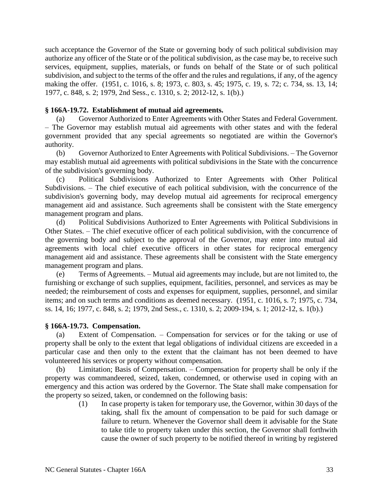such acceptance the Governor of the State or governing body of such political subdivision may authorize any officer of the State or of the political subdivision, as the case may be, to receive such services, equipment, supplies, materials, or funds on behalf of the State or of such political subdivision, and subject to the terms of the offer and the rules and regulations, if any, of the agency making the offer. (1951, c. 1016, s. 8; 1973, c. 803, s. 45; 1975, c. 19, s. 72; c. 734, ss. 13, 14; 1977, c. 848, s. 2; 1979, 2nd Sess., c. 1310, s. 2; 2012-12, s. 1(b).)

## **§ 166A-19.72. Establishment of mutual aid agreements.**

(a) Governor Authorized to Enter Agreements with Other States and Federal Government. – The Governor may establish mutual aid agreements with other states and with the federal government provided that any special agreements so negotiated are within the Governor's authority.

(b) Governor Authorized to Enter Agreements with Political Subdivisions. – The Governor may establish mutual aid agreements with political subdivisions in the State with the concurrence of the subdivision's governing body.

(c) Political Subdivisions Authorized to Enter Agreements with Other Political Subdivisions. – The chief executive of each political subdivision, with the concurrence of the subdivision's governing body, may develop mutual aid agreements for reciprocal emergency management aid and assistance. Such agreements shall be consistent with the State emergency management program and plans.

(d) Political Subdivisions Authorized to Enter Agreements with Political Subdivisions in Other States. – The chief executive officer of each political subdivision, with the concurrence of the governing body and subject to the approval of the Governor, may enter into mutual aid agreements with local chief executive officers in other states for reciprocal emergency management aid and assistance. These agreements shall be consistent with the State emergency management program and plans.

(e) Terms of Agreements. – Mutual aid agreements may include, but are not limited to, the furnishing or exchange of such supplies, equipment, facilities, personnel, and services as may be needed; the reimbursement of costs and expenses for equipment, supplies, personnel, and similar items; and on such terms and conditions as deemed necessary. (1951, c. 1016, s. 7; 1975, c. 734, ss. 14, 16; 1977, c. 848, s. 2; 1979, 2nd Sess., c. 1310, s. 2; 2009-194, s. 1; 2012-12, s. 1(b).)

#### **§ 166A-19.73. Compensation.**

(a) Extent of Compensation. – Compensation for services or for the taking or use of property shall be only to the extent that legal obligations of individual citizens are exceeded in a particular case and then only to the extent that the claimant has not been deemed to have volunteered his services or property without compensation.

(b) Limitation; Basis of Compensation. – Compensation for property shall be only if the property was commandeered, seized, taken, condemned, or otherwise used in coping with an emergency and this action was ordered by the Governor. The State shall make compensation for the property so seized, taken, or condemned on the following basis:

> (1) In case property is taken for temporary use, the Governor, within 30 days of the taking, shall fix the amount of compensation to be paid for such damage or failure to return. Whenever the Governor shall deem it advisable for the State to take title to property taken under this section, the Governor shall forthwith cause the owner of such property to be notified thereof in writing by registered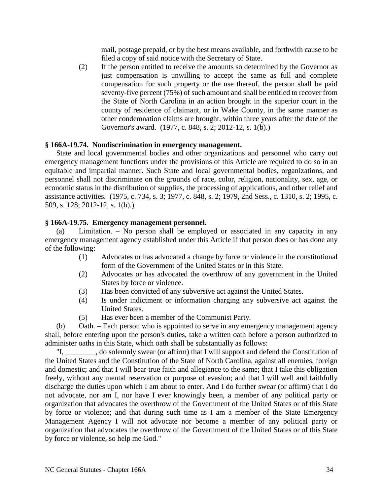mail, postage prepaid, or by the best means available, and forthwith cause to be filed a copy of said notice with the Secretary of State.

(2) If the person entitled to receive the amounts so determined by the Governor as just compensation is unwilling to accept the same as full and complete compensation for such property or the use thereof, the person shall be paid seventy-five percent (75%) of such amount and shall be entitled to recover from the State of North Carolina in an action brought in the superior court in the county of residence of claimant, or in Wake County, in the same manner as other condemnation claims are brought, within three years after the date of the Governor's award. (1977, c. 848, s. 2; 2012-12, s. 1(b).)

## **§ 166A-19.74. Nondiscrimination in emergency management.**

State and local governmental bodies and other organizations and personnel who carry out emergency management functions under the provisions of this Article are required to do so in an equitable and impartial manner. Such State and local governmental bodies, organizations, and personnel shall not discriminate on the grounds of race, color, religion, nationality, sex, age, or economic status in the distribution of supplies, the processing of applications, and other relief and assistance activities. (1975, c. 734, s. 3; 1977, c. 848, s. 2; 1979, 2nd Sess., c. 1310, s. 2; 1995, c. 509, s. 128; 2012-12, s. 1(b).)

## **§ 166A-19.75. Emergency management personnel.**

(a) Limitation. – No person shall be employed or associated in any capacity in any emergency management agency established under this Article if that person does or has done any of the following:

- (1) Advocates or has advocated a change by force or violence in the constitutional form of the Government of the United States or in this State.
- (2) Advocates or has advocated the overthrow of any government in the United States by force or violence.
- (3) Has been convicted of any subversive act against the United States.
- (4) Is under indictment or information charging any subversive act against the United States.
- (5) Has ever been a member of the Communist Party.

(b) Oath. – Each person who is appointed to serve in any emergency management agency shall, before entering upon the person's duties, take a written oath before a person authorized to administer oaths in this State, which oath shall be substantially as follows:

 $\Box$ , do solemnly swear (or affirm) that I will support and defend the Constitution of the United States and the Constitution of the State of North Carolina, against all enemies, foreign and domestic; and that I will bear true faith and allegiance to the same; that I take this obligation freely, without any mental reservation or purpose of evasion; and that I will well and faithfully discharge the duties upon which I am about to enter. And I do further swear (or affirm) that I do not advocate, nor am I, nor have I ever knowingly been, a member of any political party or organization that advocates the overthrow of the Government of the United States or of this State by force or violence; and that during such time as I am a member of the State Emergency Management Agency I will not advocate nor become a member of any political party or organization that advocates the overthrow of the Government of the United States or of this State by force or violence, so help me God."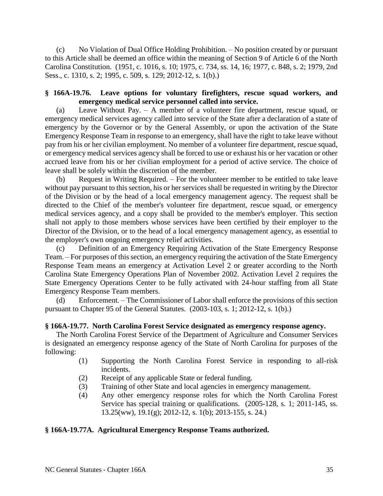(c) No Violation of Dual Office Holding Prohibition. – No position created by or pursuant to this Article shall be deemed an office within the meaning of Section 9 of Article 6 of the North Carolina Constitution. (1951, c. 1016, s. 10; 1975, c. 734, ss. 14, 16; 1977, c. 848, s. 2; 1979, 2nd Sess., c. 1310, s. 2; 1995, c. 509, s. 129; 2012-12, s. 1(b).)

## **§ 166A-19.76. Leave options for voluntary firefighters, rescue squad workers, and emergency medical service personnel called into service.**

(a) Leave Without Pay. – A member of a volunteer fire department, rescue squad, or emergency medical services agency called into service of the State after a declaration of a state of emergency by the Governor or by the General Assembly, or upon the activation of the State Emergency Response Team in response to an emergency, shall have the right to take leave without pay from his or her civilian employment. No member of a volunteer fire department, rescue squad, or emergency medical services agency shall be forced to use or exhaust his or her vacation or other accrued leave from his or her civilian employment for a period of active service. The choice of leave shall be solely within the discretion of the member.

(b) Request in Writing Required. – For the volunteer member to be entitled to take leave without pay pursuant to this section, his or her services shall be requested in writing by the Director of the Division or by the head of a local emergency management agency. The request shall be directed to the Chief of the member's volunteer fire department, rescue squad, or emergency medical services agency, and a copy shall be provided to the member's employer. This section shall not apply to those members whose services have been certified by their employer to the Director of the Division, or to the head of a local emergency management agency, as essential to the employer's own ongoing emergency relief activities.

(c) Definition of an Emergency Requiring Activation of the State Emergency Response Team. – For purposes of this section, an emergency requiring the activation of the State Emergency Response Team means an emergency at Activation Level 2 or greater according to the North Carolina State Emergency Operations Plan of November 2002. Activation Level 2 requires the State Emergency Operations Center to be fully activated with 24-hour staffing from all State Emergency Response Team members.

(d) Enforcement. – The Commissioner of Labor shall enforce the provisions of this section pursuant to Chapter 95 of the General Statutes. (2003-103, s. 1; 2012-12, s. 1(b).)

## **§ 166A-19.77. North Carolina Forest Service designated as emergency response agency.**

The North Carolina Forest Service of the Department of Agriculture and Consumer Services is designated an emergency response agency of the State of North Carolina for purposes of the following:

- (1) Supporting the North Carolina Forest Service in responding to all-risk incidents.
- (2) Receipt of any applicable State or federal funding.
- (3) Training of other State and local agencies in emergency management.
- (4) Any other emergency response roles for which the North Carolina Forest Service has special training or qualifications. (2005-128, s. 1; 2011-145, ss. 13.25(ww), 19.1(g); 2012-12, s. 1(b); 2013-155, s. 24.)

## **§ 166A-19.77A. Agricultural Emergency Response Teams authorized.**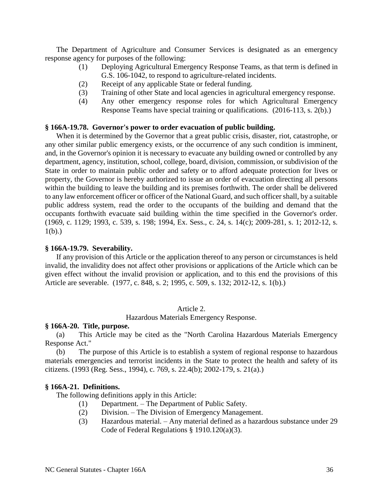The Department of Agriculture and Consumer Services is designated as an emergency response agency for purposes of the following:

- (1) Deploying Agricultural Emergency Response Teams, as that term is defined in G.S. 106-1042, to respond to agriculture-related incidents.
- (2) Receipt of any applicable State or federal funding.
- (3) Training of other State and local agencies in agricultural emergency response.
- (4) Any other emergency response roles for which Agricultural Emergency Response Teams have special training or qualifications. (2016-113, s. 2(b).)

#### **§ 166A-19.78. Governor's power to order evacuation of public building.**

When it is determined by the Governor that a great public crisis, disaster, riot, catastrophe, or any other similar public emergency exists, or the occurrence of any such condition is imminent, and, in the Governor's opinion it is necessary to evacuate any building owned or controlled by any department, agency, institution, school, college, board, division, commission, or subdivision of the State in order to maintain public order and safety or to afford adequate protection for lives or property, the Governor is hereby authorized to issue an order of evacuation directing all persons within the building to leave the building and its premises forthwith. The order shall be delivered to any law enforcement officer or officer of the National Guard, and such officer shall, by a suitable public address system, read the order to the occupants of the building and demand that the occupants forthwith evacuate said building within the time specified in the Governor's order. (1969, c. 1129; 1993, c. 539, s. 198; 1994, Ex. Sess., c. 24, s. 14(c); 2009-281, s. 1; 2012-12, s.  $1(b)$ .)

#### **§ 166A-19.79. Severability.**

If any provision of this Article or the application thereof to any person or circumstances is held invalid, the invalidity does not affect other provisions or applications of the Article which can be given effect without the invalid provision or application, and to this end the provisions of this Article are severable. (1977, c. 848, s. 2; 1995, c. 509, s. 132; 2012-12, s. 1(b).)

#### Article 2.

Hazardous Materials Emergency Response.

#### **§ 166A-20. Title, purpose.**

(a) This Article may be cited as the "North Carolina Hazardous Materials Emergency Response Act."

(b) The purpose of this Article is to establish a system of regional response to hazardous materials emergencies and terrorist incidents in the State to protect the health and safety of its citizens. (1993 (Reg. Sess., 1994), c. 769, s. 22.4(b); 2002-179, s. 21(a).)

#### **§ 166A-21. Definitions.**

The following definitions apply in this Article:

- (1) Department. The Department of Public Safety.
- (2) Division. The Division of Emergency Management.
- (3) Hazardous material. Any material defined as a hazardous substance under 29 Code of Federal Regulations § 1910.120(a)(3).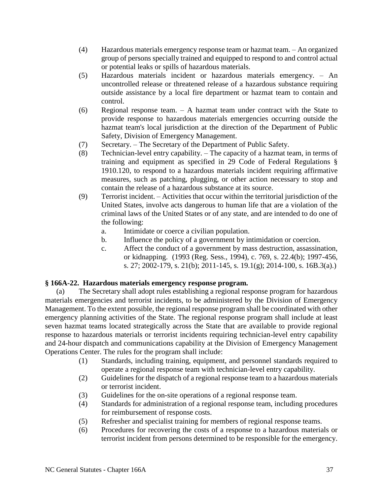- (4) Hazardous materials emergency response team or hazmat team. An organized group of persons specially trained and equipped to respond to and control actual or potential leaks or spills of hazardous materials.
- (5) Hazardous materials incident or hazardous materials emergency. An uncontrolled release or threatened release of a hazardous substance requiring outside assistance by a local fire department or hazmat team to contain and control.
- (6) Regional response team. A hazmat team under contract with the State to provide response to hazardous materials emergencies occurring outside the hazmat team's local jurisdiction at the direction of the Department of Public Safety, Division of Emergency Management.
- (7) Secretary. The Secretary of the Department of Public Safety.
- (8) Technician-level entry capability. The capacity of a hazmat team, in terms of training and equipment as specified in 29 Code of Federal Regulations § 1910.120, to respond to a hazardous materials incident requiring affirmative measures, such as patching, plugging, or other action necessary to stop and contain the release of a hazardous substance at its source.
- (9) Terrorist incident. Activities that occur within the territorial jurisdiction of the United States, involve acts dangerous to human life that are a violation of the criminal laws of the United States or of any state, and are intended to do one of the following:
	- a. Intimidate or coerce a civilian population.
	- b. Influence the policy of a government by intimidation or coercion.
	- c. Affect the conduct of a government by mass destruction, assassination, or kidnapping. (1993 (Reg. Sess., 1994), c. 769, s. 22.4(b); 1997-456, s. 27; 2002-179, s. 21(b); 2011-145, s. 19.1(g); 2014-100, s. 16B.3(a).)

## **§ 166A-22. Hazardous materials emergency response program.**

(a) The Secretary shall adopt rules establishing a regional response program for hazardous materials emergencies and terrorist incidents, to be administered by the Division of Emergency Management. To the extent possible, the regional response program shall be coordinated with other emergency planning activities of the State. The regional response program shall include at least seven hazmat teams located strategically across the State that are available to provide regional response to hazardous materials or terrorist incidents requiring technician-level entry capability and 24-hour dispatch and communications capability at the Division of Emergency Management Operations Center. The rules for the program shall include:

- (1) Standards, including training, equipment, and personnel standards required to operate a regional response team with technician-level entry capability.
- (2) Guidelines for the dispatch of a regional response team to a hazardous materials or terrorist incident.
- (3) Guidelines for the on-site operations of a regional response team.
- (4) Standards for administration of a regional response team, including procedures for reimbursement of response costs.
- (5) Refresher and specialist training for members of regional response teams.
- (6) Procedures for recovering the costs of a response to a hazardous materials or terrorist incident from persons determined to be responsible for the emergency.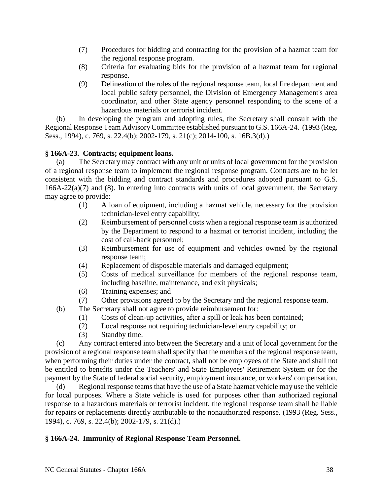- (7) Procedures for bidding and contracting for the provision of a hazmat team for the regional response program.
- (8) Criteria for evaluating bids for the provision of a hazmat team for regional response.
- (9) Delineation of the roles of the regional response team, local fire department and local public safety personnel, the Division of Emergency Management's area coordinator, and other State agency personnel responding to the scene of a hazardous materials or terrorist incident.

(b) In developing the program and adopting rules, the Secretary shall consult with the Regional Response Team Advisory Committee established pursuant to G.S. 166A-24. (1993 (Reg. Sess., 1994), c. 769, s. 22.4(b); 2002-179, s. 21(c); 2014-100, s. 16B.3(d).)

## **§ 166A-23. Contracts; equipment loans.**

(a) The Secretary may contract with any unit or units of local government for the provision of a regional response team to implement the regional response program. Contracts are to be let consistent with the bidding and contract standards and procedures adopted pursuant to G.S. 166A-22(a)(7) and (8). In entering into contracts with units of local government, the Secretary may agree to provide:

- (1) A loan of equipment, including a hazmat vehicle, necessary for the provision technician-level entry capability;
- (2) Reimbursement of personnel costs when a regional response team is authorized by the Department to respond to a hazmat or terrorist incident, including the cost of call-back personnel;
- (3) Reimbursement for use of equipment and vehicles owned by the regional response team;
- (4) Replacement of disposable materials and damaged equipment;
- (5) Costs of medical surveillance for members of the regional response team, including baseline, maintenance, and exit physicals;
- (6) Training expenses; and
- (7) Other provisions agreed to by the Secretary and the regional response team.
- (b) The Secretary shall not agree to provide reimbursement for:
	- (1) Costs of clean-up activities, after a spill or leak has been contained;
	- (2) Local response not requiring technician-level entry capability; or
	- (3) Standby time.

(c) Any contract entered into between the Secretary and a unit of local government for the provision of a regional response team shall specify that the members of the regional response team, when performing their duties under the contract, shall not be employees of the State and shall not be entitled to benefits under the Teachers' and State Employees' Retirement System or for the payment by the State of federal social security, employment insurance, or workers' compensation.

(d) Regional response teams that have the use of a State hazmat vehicle may use the vehicle for local purposes. Where a State vehicle is used for purposes other than authorized regional response to a hazardous materials or terrorist incident, the regional response team shall be liable for repairs or replacements directly attributable to the nonauthorized response. (1993 (Reg. Sess., 1994), c. 769, s. 22.4(b); 2002-179, s. 21(d).)

## **§ 166A-24. Immunity of Regional Response Team Personnel.**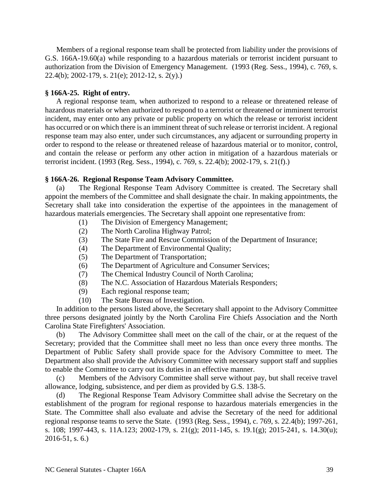Members of a regional response team shall be protected from liability under the provisions of G.S. 166A-19.60(a) while responding to a hazardous materials or terrorist incident pursuant to authorization from the Division of Emergency Management. (1993 (Reg. Sess., 1994), c. 769, s. 22.4(b); 2002-179, s. 21(e); 2012-12, s. 2(y).)

## **§ 166A-25. Right of entry.**

A regional response team, when authorized to respond to a release or threatened release of hazardous materials or when authorized to respond to a terrorist or threatened or imminent terrorist incident, may enter onto any private or public property on which the release or terrorist incident has occurred or on which there is an imminent threat of such release or terrorist incident. A regional response team may also enter, under such circumstances, any adjacent or surrounding property in order to respond to the release or threatened release of hazardous material or to monitor, control, and contain the release or perform any other action in mitigation of a hazardous materials or terrorist incident. (1993 (Reg. Sess., 1994), c. 769, s. 22.4(b); 2002-179, s. 21(f).)

## **§ 166A-26. Regional Response Team Advisory Committee.**

(a) The Regional Response Team Advisory Committee is created. The Secretary shall appoint the members of the Committee and shall designate the chair. In making appointments, the Secretary shall take into consideration the expertise of the appointees in the management of hazardous materials emergencies. The Secretary shall appoint one representative from:

- (1) The Division of Emergency Management;
- (2) The North Carolina Highway Patrol;
- (3) The State Fire and Rescue Commission of the Department of Insurance;
- (4) The Department of Environmental Quality;
- (5) The Department of Transportation;
- (6) The Department of Agriculture and Consumer Services;
- (7) The Chemical Industry Council of North Carolina;
- (8) The N.C. Association of Hazardous Materials Responders;
- (9) Each regional response team;
- (10) The State Bureau of Investigation.

In addition to the persons listed above, the Secretary shall appoint to the Advisory Committee three persons designated jointly by the North Carolina Fire Chiefs Association and the North Carolina State Firefighters' Association.

(b) The Advisory Committee shall meet on the call of the chair, or at the request of the Secretary; provided that the Committee shall meet no less than once every three months. The Department of Public Safety shall provide space for the Advisory Committee to meet. The Department also shall provide the Advisory Committee with necessary support staff and supplies to enable the Committee to carry out its duties in an effective manner.

(c) Members of the Advisory Committee shall serve without pay, but shall receive travel allowance, lodging, subsistence, and per diem as provided by G.S. 138-5.

(d) The Regional Response Team Advisory Committee shall advise the Secretary on the establishment of the program for regional response to hazardous materials emergencies in the State. The Committee shall also evaluate and advise the Secretary of the need for additional regional response teams to serve the State. (1993 (Reg. Sess., 1994), c. 769, s. 22.4(b); 1997-261, s. 108; 1997-443, s. 11A.123; 2002-179, s. 21(g); 2011-145, s. 19.1(g); 2015-241, s. 14.30(u); 2016-51, s. 6.)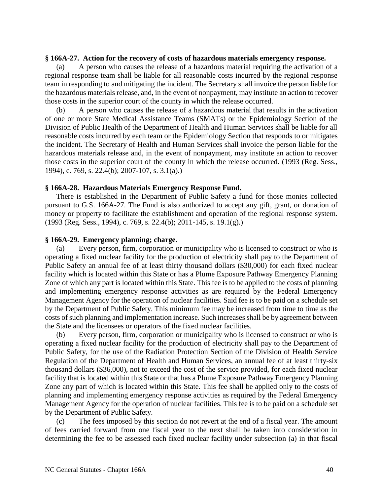#### **§ 166A-27. Action for the recovery of costs of hazardous materials emergency response.**

(a) A person who causes the release of a hazardous material requiring the activation of a regional response team shall be liable for all reasonable costs incurred by the regional response team in responding to and mitigating the incident. The Secretary shall invoice the person liable for the hazardous materials release, and, in the event of nonpayment, may institute an action to recover those costs in the superior court of the county in which the release occurred.

(b) A person who causes the release of a hazardous material that results in the activation of one or more State Medical Assistance Teams (SMATs) or the Epidemiology Section of the Division of Public Health of the Department of Health and Human Services shall be liable for all reasonable costs incurred by each team or the Epidemiology Section that responds to or mitigates the incident. The Secretary of Health and Human Services shall invoice the person liable for the hazardous materials release and, in the event of nonpayment, may institute an action to recover those costs in the superior court of the county in which the release occurred. (1993 (Reg. Sess., 1994), c. 769, s. 22.4(b); 2007-107, s. 3.1(a).)

## **§ 166A-28. Hazardous Materials Emergency Response Fund.**

There is established in the Department of Public Safety a fund for those monies collected pursuant to G.S. 166A-27. The Fund is also authorized to accept any gift, grant, or donation of money or property to facilitate the establishment and operation of the regional response system. (1993 (Reg. Sess., 1994), c. 769, s. 22.4(b); 2011-145, s. 19.1(g).)

## **§ 166A-29. Emergency planning; charge.**

(a) Every person, firm, corporation or municipality who is licensed to construct or who is operating a fixed nuclear facility for the production of electricity shall pay to the Department of Public Safety an annual fee of at least thirty thousand dollars (\$30,000) for each fixed nuclear facility which is located within this State or has a Plume Exposure Pathway Emergency Planning Zone of which any part is located within this State. This fee is to be applied to the costs of planning and implementing emergency response activities as are required by the Federal Emergency Management Agency for the operation of nuclear facilities. Said fee is to be paid on a schedule set by the Department of Public Safety. This minimum fee may be increased from time to time as the costs of such planning and implementation increase. Such increases shall be by agreement between the State and the licensees or operators of the fixed nuclear facilities.

(b) Every person, firm, corporation or municipality who is licensed to construct or who is operating a fixed nuclear facility for the production of electricity shall pay to the Department of Public Safety, for the use of the Radiation Protection Section of the Division of Health Service Regulation of the Department of Health and Human Services, an annual fee of at least thirty-six thousand dollars (\$36,000), not to exceed the cost of the service provided, for each fixed nuclear facility that is located within this State or that has a Plume Exposure Pathway Emergency Planning Zone any part of which is located within this State. This fee shall be applied only to the costs of planning and implementing emergency response activities as required by the Federal Emergency Management Agency for the operation of nuclear facilities. This fee is to be paid on a schedule set by the Department of Public Safety.

(c) The fees imposed by this section do not revert at the end of a fiscal year. The amount of fees carried forward from one fiscal year to the next shall be taken into consideration in determining the fee to be assessed each fixed nuclear facility under subsection (a) in that fiscal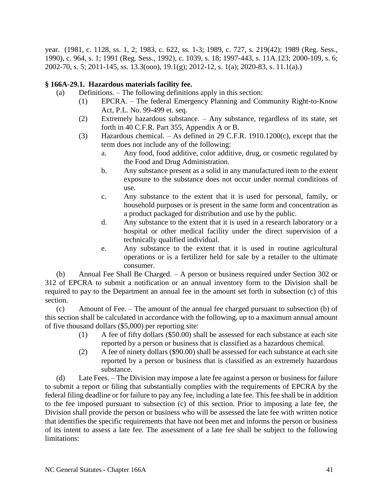year. (1981, c. 1128, ss. 1, 2; 1983, c. 622, ss. 1-3; 1989, c. 727, s. 219(42); 1989 (Reg. Sess., 1990), c. 964, s. 1; 1991 (Reg. Sess., 1992), c. 1039, s. 18; 1997-443, s. 11A.123; 2000-109, s. 6; 2002-70, s. 5; 2011-145, ss. 13.3(ooo), 19.1(g); 2012-12, s. 1(a); 2020-83, s. 11.1(a).)

# **§ 166A-29.1. Hazardous materials facility fee.**

- (a) Definitions. The following definitions apply in this section:
	- (1) EPCRA. The federal Emergency Planning and Community Right-to-Know Act, P.L. No. 99-499 et. seq.
	- (2) Extremely hazardous substance. Any substance, regardless of its state, set forth in 40 C.F.R. Part 355, Appendix A or B.
	- (3) Hazardous chemical. As defined in 29 C.F.R. 1910.1200(c), except that the term does not include any of the following:
		- a. Any food, food additive, color additive, drug, or cosmetic regulated by the Food and Drug Administration.
		- b. Any substance present as a solid in any manufactured item to the extent exposure to the substance does not occur under normal conditions of use.
		- c. Any substance to the extent that it is used for personal, family, or household purposes or is present in the same form and concentration as a product packaged for distribution and use by the public.
		- d. Any substance to the extent that it is used in a research laboratory or a hospital or other medical facility under the direct supervision of a technically qualified individual.
		- e. Any substance to the extent that it is used in routine agricultural operations or is a fertilizer held for sale by a retailer to the ultimate consumer.

(b) Annual Fee Shall Be Charged. – A person or business required under Section 302 or 312 of EPCRA to submit a notification or an annual inventory form to the Division shall be required to pay to the Department an annual fee in the amount set forth in subsection (c) of this section.

(c) Amount of Fee. – The amount of the annual fee charged pursuant to subsection (b) of this section shall be calculated in accordance with the following, up to a maximum annual amount of five thousand dollars (\$5,000) per reporting site:

- (1) A fee of fifty dollars (\$50.00) shall be assessed for each substance at each site reported by a person or business that is classified as a hazardous chemical.
- (2) A fee of ninety dollars (\$90.00) shall be assessed for each substance at each site reported by a person or business that is classified as an extremely hazardous substance.

(d) Late Fees. – The Division may impose a late fee against a person or business for failure to submit a report or filing that substantially complies with the requirements of EPCRA by the federal filing deadline or for failure to pay any fee, including a late fee. This fee shall be in addition to the fee imposed pursuant to subsection (c) of this section. Prior to imposing a late fee, the Division shall provide the person or business who will be assessed the late fee with written notice that identifies the specific requirements that have not been met and informs the person or business of its intent to assess a late fee. The assessment of a late fee shall be subject to the following limitations: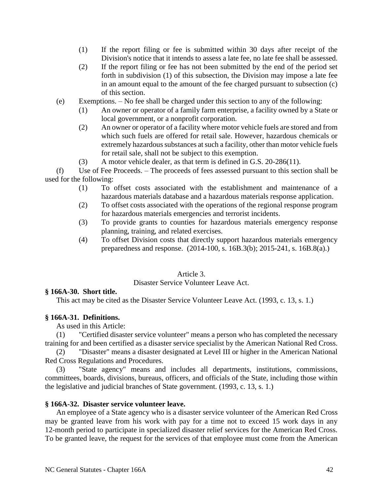- (1) If the report filing or fee is submitted within 30 days after receipt of the Division's notice that it intends to assess a late fee, no late fee shall be assessed.
- (2) If the report filing or fee has not been submitted by the end of the period set forth in subdivision (1) of this subsection, the Division may impose a late fee in an amount equal to the amount of the fee charged pursuant to subsection (c) of this section.
- (e) Exemptions. No fee shall be charged under this section to any of the following:
	- (1) An owner or operator of a family farm enterprise, a facility owned by a State or local government, or a nonprofit corporation.
	- (2) An owner or operator of a facility where motor vehicle fuels are stored and from which such fuels are offered for retail sale. However, hazardous chemicals or extremely hazardous substances at such a facility, other than motor vehicle fuels for retail sale, shall not be subject to this exemption.
	- (3) A motor vehicle dealer, as that term is defined in G.S. 20-286(11).

(f) Use of Fee Proceeds. – The proceeds of fees assessed pursuant to this section shall be used for the following:

- (1) To offset costs associated with the establishment and maintenance of a hazardous materials database and a hazardous materials response application.
- (2) To offset costs associated with the operations of the regional response program for hazardous materials emergencies and terrorist incidents.
- (3) To provide grants to counties for hazardous materials emergency response planning, training, and related exercises.
- (4) To offset Division costs that directly support hazardous materials emergency preparedness and response. (2014-100, s. 16B.3(b); 2015-241, s. 16B.8(a).)

## Article 3.

Disaster Service Volunteer Leave Act.

## **§ 166A-30. Short title.**

This act may be cited as the Disaster Service Volunteer Leave Act. (1993, c. 13, s. 1.)

## **§ 166A-31. Definitions.**

As used in this Article:

(1) "Certified disaster service volunteer" means a person who has completed the necessary training for and been certified as a disaster service specialist by the American National Red Cross.

(2) "Disaster" means a disaster designated at Level III or higher in the American National Red Cross Regulations and Procedures.

(3) "State agency" means and includes all departments, institutions, commissions, committees, boards, divisions, bureaus, officers, and officials of the State, including those within the legislative and judicial branches of State government. (1993, c. 13, s. 1.)

## **§ 166A-32. Disaster service volunteer leave.**

An employee of a State agency who is a disaster service volunteer of the American Red Cross may be granted leave from his work with pay for a time not to exceed 15 work days in any 12-month period to participate in specialized disaster relief services for the American Red Cross. To be granted leave, the request for the services of that employee must come from the American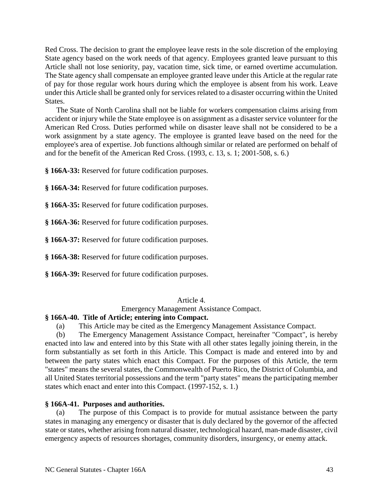Red Cross. The decision to grant the employee leave rests in the sole discretion of the employing State agency based on the work needs of that agency. Employees granted leave pursuant to this Article shall not lose seniority, pay, vacation time, sick time, or earned overtime accumulation. The State agency shall compensate an employee granted leave under this Article at the regular rate of pay for those regular work hours during which the employee is absent from his work. Leave under this Article shall be granted only for services related to a disaster occurring within the United States.

The State of North Carolina shall not be liable for workers compensation claims arising from accident or injury while the State employee is on assignment as a disaster service volunteer for the American Red Cross. Duties performed while on disaster leave shall not be considered to be a work assignment by a state agency. The employee is granted leave based on the need for the employee's area of expertise. Job functions although similar or related are performed on behalf of and for the benefit of the American Red Cross. (1993, c. 13, s. 1; 2001-508, s. 6.)

**§ 166A-33:** Reserved for future codification purposes.

**§ 166A-34:** Reserved for future codification purposes.

**§ 166A-35:** Reserved for future codification purposes.

**§ 166A-36:** Reserved for future codification purposes.

**§ 166A-37:** Reserved for future codification purposes.

**§ 166A-38:** Reserved for future codification purposes.

**§ 166A-39:** Reserved for future codification purposes.

## Article 4.

Emergency Management Assistance Compact.

# **§ 166A-40. Title of Article; entering into Compact.**

(a) This Article may be cited as the Emergency Management Assistance Compact.

(b) The Emergency Management Assistance Compact, hereinafter "Compact", is hereby enacted into law and entered into by this State with all other states legally joining therein, in the form substantially as set forth in this Article. This Compact is made and entered into by and between the party states which enact this Compact. For the purposes of this Article, the term "states" means the several states, the Commonwealth of Puerto Rico, the District of Columbia, and all United States territorial possessions and the term "party states" means the participating member states which enact and enter into this Compact. (1997-152, s. 1.)

## **§ 166A-41. Purposes and authorities.**

(a) The purpose of this Compact is to provide for mutual assistance between the party states in managing any emergency or disaster that is duly declared by the governor of the affected state or states, whether arising from natural disaster, technological hazard, man-made disaster, civil emergency aspects of resources shortages, community disorders, insurgency, or enemy attack.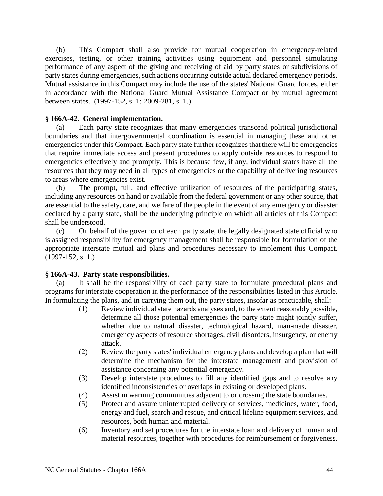(b) This Compact shall also provide for mutual cooperation in emergency-related exercises, testing, or other training activities using equipment and personnel simulating performance of any aspect of the giving and receiving of aid by party states or subdivisions of party states during emergencies, such actions occurring outside actual declared emergency periods. Mutual assistance in this Compact may include the use of the states' National Guard forces, either in accordance with the National Guard Mutual Assistance Compact or by mutual agreement between states. (1997-152, s. 1; 2009-281, s. 1.)

## **§ 166A-42. General implementation.**

(a) Each party state recognizes that many emergencies transcend political jurisdictional boundaries and that intergovernmental coordination is essential in managing these and other emergencies under this Compact. Each party state further recognizes that there will be emergencies that require immediate access and present procedures to apply outside resources to respond to emergencies effectively and promptly. This is because few, if any, individual states have all the resources that they may need in all types of emergencies or the capability of delivering resources to areas where emergencies exist.

(b) The prompt, full, and effective utilization of resources of the participating states, including any resources on hand or available from the federal government or any other source, that are essential to the safety, care, and welfare of the people in the event of any emergency or disaster declared by a party state, shall be the underlying principle on which all articles of this Compact shall be understood.

(c) On behalf of the governor of each party state, the legally designated state official who is assigned responsibility for emergency management shall be responsible for formulation of the appropriate interstate mutual aid plans and procedures necessary to implement this Compact. (1997-152, s. 1.)

#### **§ 166A-43. Party state responsibilities.**

(a) It shall be the responsibility of each party state to formulate procedural plans and programs for interstate cooperation in the performance of the responsibilities listed in this Article. In formulating the plans, and in carrying them out, the party states, insofar as practicable, shall:

- (1) Review individual state hazards analyses and, to the extent reasonably possible, determine all those potential emergencies the party state might jointly suffer, whether due to natural disaster, technological hazard, man-made disaster, emergency aspects of resource shortages, civil disorders, insurgency, or enemy attack.
- (2) Review the party states' individual emergency plans and develop a plan that will determine the mechanism for the interstate management and provision of assistance concerning any potential emergency.
- (3) Develop interstate procedures to fill any identified gaps and to resolve any identified inconsistencies or overlaps in existing or developed plans.
- (4) Assist in warning communities adjacent to or crossing the state boundaries.
- (5) Protect and assure uninterrupted delivery of services, medicines, water, food, energy and fuel, search and rescue, and critical lifeline equipment services, and resources, both human and material.
- (6) Inventory and set procedures for the interstate loan and delivery of human and material resources, together with procedures for reimbursement or forgiveness.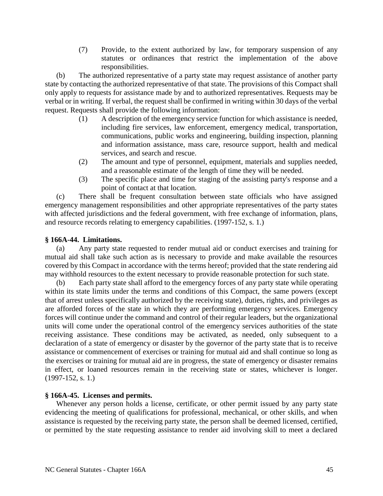(7) Provide, to the extent authorized by law, for temporary suspension of any statutes or ordinances that restrict the implementation of the above responsibilities.

(b) The authorized representative of a party state may request assistance of another party state by contacting the authorized representative of that state. The provisions of this Compact shall only apply to requests for assistance made by and to authorized representatives. Requests may be verbal or in writing. If verbal, the request shall be confirmed in writing within 30 days of the verbal request. Requests shall provide the following information:

- (1) A description of the emergency service function for which assistance is needed, including fire services, law enforcement, emergency medical, transportation, communications, public works and engineering, building inspection, planning and information assistance, mass care, resource support, health and medical services, and search and rescue.
- (2) The amount and type of personnel, equipment, materials and supplies needed, and a reasonable estimate of the length of time they will be needed.
- (3) The specific place and time for staging of the assisting party's response and a point of contact at that location.

(c) There shall be frequent consultation between state officials who have assigned emergency management responsibilities and other appropriate representatives of the party states with affected jurisdictions and the federal government, with free exchange of information, plans, and resource records relating to emergency capabilities. (1997-152, s. 1.)

## **§ 166A-44. Limitations.**

(a) Any party state requested to render mutual aid or conduct exercises and training for mutual aid shall take such action as is necessary to provide and make available the resources covered by this Compact in accordance with the terms hereof; provided that the state rendering aid may withhold resources to the extent necessary to provide reasonable protection for such state.

(b) Each party state shall afford to the emergency forces of any party state while operating within its state limits under the terms and conditions of this Compact, the same powers (except that of arrest unless specifically authorized by the receiving state), duties, rights, and privileges as are afforded forces of the state in which they are performing emergency services. Emergency forces will continue under the command and control of their regular leaders, but the organizational units will come under the operational control of the emergency services authorities of the state receiving assistance. These conditions may be activated, as needed, only subsequent to a declaration of a state of emergency or disaster by the governor of the party state that is to receive assistance or commencement of exercises or training for mutual aid and shall continue so long as the exercises or training for mutual aid are in progress, the state of emergency or disaster remains in effect, or loaned resources remain in the receiving state or states, whichever is longer. (1997-152, s. 1.)

## **§ 166A-45. Licenses and permits.**

Whenever any person holds a license, certificate, or other permit issued by any party state evidencing the meeting of qualifications for professional, mechanical, or other skills, and when assistance is requested by the receiving party state, the person shall be deemed licensed, certified, or permitted by the state requesting assistance to render aid involving skill to meet a declared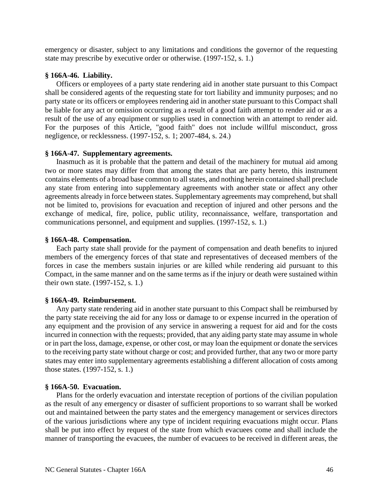emergency or disaster, subject to any limitations and conditions the governor of the requesting state may prescribe by executive order or otherwise. (1997-152, s. 1.)

## **§ 166A-46. Liability.**

Officers or employees of a party state rendering aid in another state pursuant to this Compact shall be considered agents of the requesting state for tort liability and immunity purposes; and no party state or its officers or employees rendering aid in another state pursuant to this Compact shall be liable for any act or omission occurring as a result of a good faith attempt to render aid or as a result of the use of any equipment or supplies used in connection with an attempt to render aid. For the purposes of this Article, "good faith" does not include willful misconduct, gross negligence, or recklessness. (1997-152, s. 1; 2007-484, s. 24.)

## **§ 166A-47. Supplementary agreements.**

Inasmuch as it is probable that the pattern and detail of the machinery for mutual aid among two or more states may differ from that among the states that are party hereto, this instrument contains elements of a broad base common to all states, and nothing herein contained shall preclude any state from entering into supplementary agreements with another state or affect any other agreements already in force between states. Supplementary agreements may comprehend, but shall not be limited to, provisions for evacuation and reception of injured and other persons and the exchange of medical, fire, police, public utility, reconnaissance, welfare, transportation and communications personnel, and equipment and supplies. (1997-152, s. 1.)

## **§ 166A-48. Compensation.**

Each party state shall provide for the payment of compensation and death benefits to injured members of the emergency forces of that state and representatives of deceased members of the forces in case the members sustain injuries or are killed while rendering aid pursuant to this Compact, in the same manner and on the same terms as if the injury or death were sustained within their own state. (1997-152, s. 1.)

## **§ 166A-49. Reimbursement.**

Any party state rendering aid in another state pursuant to this Compact shall be reimbursed by the party state receiving the aid for any loss or damage to or expense incurred in the operation of any equipment and the provision of any service in answering a request for aid and for the costs incurred in connection with the requests; provided, that any aiding party state may assume in whole or in part the loss, damage, expense, or other cost, or may loan the equipment or donate the services to the receiving party state without charge or cost; and provided further, that any two or more party states may enter into supplementary agreements establishing a different allocation of costs among those states. (1997-152, s. 1.)

## **§ 166A-50. Evacuation.**

Plans for the orderly evacuation and interstate reception of portions of the civilian population as the result of any emergency or disaster of sufficient proportions to so warrant shall be worked out and maintained between the party states and the emergency management or services directors of the various jurisdictions where any type of incident requiring evacuations might occur. Plans shall be put into effect by request of the state from which evacuees come and shall include the manner of transporting the evacuees, the number of evacuees to be received in different areas, the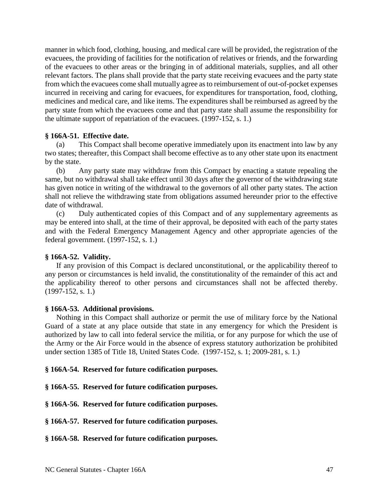manner in which food, clothing, housing, and medical care will be provided, the registration of the evacuees, the providing of facilities for the notification of relatives or friends, and the forwarding of the evacuees to other areas or the bringing in of additional materials, supplies, and all other relevant factors. The plans shall provide that the party state receiving evacuees and the party state from which the evacuees come shall mutually agree as to reimbursement of out-of-pocket expenses incurred in receiving and caring for evacuees, for expenditures for transportation, food, clothing, medicines and medical care, and like items. The expenditures shall be reimbursed as agreed by the party state from which the evacuees come and that party state shall assume the responsibility for the ultimate support of repatriation of the evacuees. (1997-152, s. 1.)

## **§ 166A-51. Effective date.**

(a) This Compact shall become operative immediately upon its enactment into law by any two states; thereafter, this Compact shall become effective as to any other state upon its enactment by the state.

(b) Any party state may withdraw from this Compact by enacting a statute repealing the same, but no withdrawal shall take effect until 30 days after the governor of the withdrawing state has given notice in writing of the withdrawal to the governors of all other party states. The action shall not relieve the withdrawing state from obligations assumed hereunder prior to the effective date of withdrawal.

(c) Duly authenticated copies of this Compact and of any supplementary agreements as may be entered into shall, at the time of their approval, be deposited with each of the party states and with the Federal Emergency Management Agency and other appropriate agencies of the federal government. (1997-152, s. 1.)

## **§ 166A-52. Validity.**

If any provision of this Compact is declared unconstitutional, or the applicability thereof to any person or circumstances is held invalid, the constitutionality of the remainder of this act and the applicability thereof to other persons and circumstances shall not be affected thereby. (1997-152, s. 1.)

#### **§ 166A-53. Additional provisions.**

Nothing in this Compact shall authorize or permit the use of military force by the National Guard of a state at any place outside that state in any emergency for which the President is authorized by law to call into federal service the militia, or for any purpose for which the use of the Army or the Air Force would in the absence of express statutory authorization be prohibited under section 1385 of Title 18, United States Code. (1997-152, s. 1; 2009-281, s. 1.)

#### **§ 166A-54. Reserved for future codification purposes.**

**§ 166A-55. Reserved for future codification purposes.**

**§ 166A-56. Reserved for future codification purposes.**

**§ 166A-57. Reserved for future codification purposes.**

**§ 166A-58. Reserved for future codification purposes.**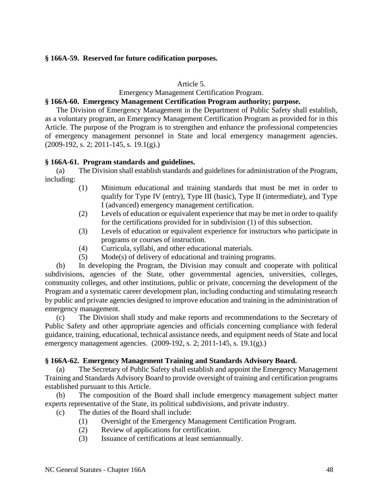## **§ 166A-59. Reserved for future codification purposes.**

#### Article 5.

## Emergency Management Certification Program.

## **§ 166A-60. Emergency Management Certification Program authority; purpose.**

The Division of Emergency Management in the Department of Public Safety shall establish, as a voluntary program, an Emergency Management Certification Program as provided for in this Article. The purpose of the Program is to strengthen and enhance the professional competencies of emergency management personnel in State and local emergency management agencies. (2009-192, s. 2; 2011-145, s. 19.1(g).)

## **§ 166A-61. Program standards and guidelines.**

(a) The Division shall establish standards and guidelines for administration of the Program, including:

- (1) Minimum educational and training standards that must be met in order to qualify for Type IV (entry), Type III (basic), Type II (intermediate), and Type I (advanced) emergency management certification.
- (2) Levels of education or equivalent experience that may be met in order to qualify for the certifications provided for in subdivision (1) of this subsection.
- (3) Levels of education or equivalent experience for instructors who participate in programs or courses of instruction.
- (4) Curricula, syllabi, and other educational materials.
- (5) Mode(s) of delivery of educational and training programs.

(b) In developing the Program, the Division may consult and cooperate with political subdivisions, agencies of the State, other governmental agencies, universities, colleges, community colleges, and other institutions, public or private, concerning the development of the Program and a systematic career development plan, including conducting and stimulating research by public and private agencies designed to improve education and training in the administration of emergency management.

(c) The Division shall study and make reports and recommendations to the Secretary of Public Safety and other appropriate agencies and officials concerning compliance with federal guidance, training, educational, technical assistance needs, and equipment needs of State and local emergency management agencies. (2009-192, s. 2; 2011-145, s. 19.1(g).)

## **§ 166A-62. Emergency Management Training and Standards Advisory Board.**

(a) The Secretary of Public Safety shall establish and appoint the Emergency Management Training and Standards Advisory Board to provide oversight of training and certification programs established pursuant to this Article.

(b) The composition of the Board shall include emergency management subject matter experts representative of the State, its political subdivisions, and private industry.

- (c) The duties of the Board shall include:
	- (1) Oversight of the Emergency Management Certification Program.
	- (2) Review of applications for certification.
	- (3) Issuance of certifications at least semiannually.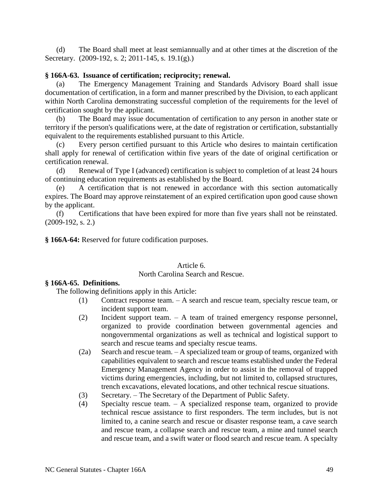(d) The Board shall meet at least semiannually and at other times at the discretion of the Secretary. (2009-192, s. 2; 2011-145, s. 19.1(g).)

## **§ 166A-63. Issuance of certification; reciprocity; renewal.**

(a) The Emergency Management Training and Standards Advisory Board shall issue documentation of certification, in a form and manner prescribed by the Division, to each applicant within North Carolina demonstrating successful completion of the requirements for the level of certification sought by the applicant.

(b) The Board may issue documentation of certification to any person in another state or territory if the person's qualifications were, at the date of registration or certification, substantially equivalent to the requirements established pursuant to this Article.

(c) Every person certified pursuant to this Article who desires to maintain certification shall apply for renewal of certification within five years of the date of original certification or certification renewal.

(d) Renewal of Type I (advanced) certification is subject to completion of at least 24 hours of continuing education requirements as established by the Board.

(e) A certification that is not renewed in accordance with this section automatically expires. The Board may approve reinstatement of an expired certification upon good cause shown by the applicant.

(f) Certifications that have been expired for more than five years shall not be reinstated. (2009-192, s. 2.)

**§ 166A-64:** Reserved for future codification purposes.

## Article 6.

## North Carolina Search and Rescue.

## **§ 166A-65. Definitions.**

The following definitions apply in this Article:

- (1) Contract response team. A search and rescue team, specialty rescue team, or incident support team.
- (2) Incident support team. A team of trained emergency response personnel, organized to provide coordination between governmental agencies and nongovernmental organizations as well as technical and logistical support to search and rescue teams and specialty rescue teams.
- (2a) Search and rescue team. A specialized team or group of teams, organized with capabilities equivalent to search and rescue teams established under the Federal Emergency Management Agency in order to assist in the removal of trapped victims during emergencies, including, but not limited to, collapsed structures, trench excavations, elevated locations, and other technical rescue situations.
- (3) Secretary. The Secretary of the Department of Public Safety.
- (4) Specialty rescue team. A specialized response team, organized to provide technical rescue assistance to first responders. The term includes, but is not limited to, a canine search and rescue or disaster response team, a cave search and rescue team, a collapse search and rescue team, a mine and tunnel search and rescue team, and a swift water or flood search and rescue team. A specialty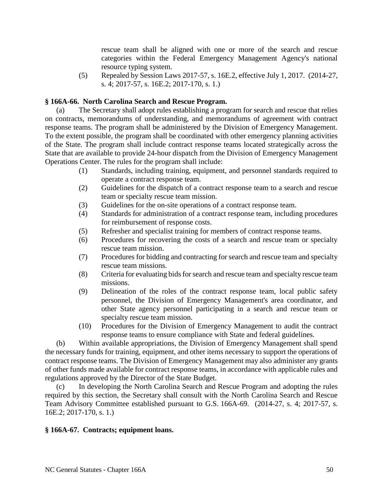rescue team shall be aligned with one or more of the search and rescue categories within the Federal Emergency Management Agency's national resource typing system.

(5) Repealed by Session Laws 2017-57, s. 16E.2, effective July 1, 2017. (2014-27, s. 4; 2017-57, s. 16E.2; 2017-170, s. 1.)

## **§ 166A-66. North Carolina Search and Rescue Program.**

(a) The Secretary shall adopt rules establishing a program for search and rescue that relies on contracts, memorandums of understanding, and memorandums of agreement with contract response teams. The program shall be administered by the Division of Emergency Management. To the extent possible, the program shall be coordinated with other emergency planning activities of the State. The program shall include contract response teams located strategically across the State that are available to provide 24-hour dispatch from the Division of Emergency Management Operations Center. The rules for the program shall include:

- (1) Standards, including training, equipment, and personnel standards required to operate a contract response team.
- (2) Guidelines for the dispatch of a contract response team to a search and rescue team or specialty rescue team mission.
- (3) Guidelines for the on-site operations of a contract response team.
- (4) Standards for administration of a contract response team, including procedures for reimbursement of response costs.
- (5) Refresher and specialist training for members of contract response teams.
- (6) Procedures for recovering the costs of a search and rescue team or specialty rescue team mission.
- (7) Procedures for bidding and contracting for search and rescue team and specialty rescue team missions.
- (8) Criteria for evaluating bids for search and rescue team and specialty rescue team missions.
- (9) Delineation of the roles of the contract response team, local public safety personnel, the Division of Emergency Management's area coordinator, and other State agency personnel participating in a search and rescue team or specialty rescue team mission.
- (10) Procedures for the Division of Emergency Management to audit the contract response teams to ensure compliance with State and federal guidelines.

(b) Within available appropriations, the Division of Emergency Management shall spend the necessary funds for training, equipment, and other items necessary to support the operations of contract response teams. The Division of Emergency Management may also administer any grants of other funds made available for contract response teams, in accordance with applicable rules and regulations approved by the Director of the State Budget.

(c) In developing the North Carolina Search and Rescue Program and adopting the rules required by this section, the Secretary shall consult with the North Carolina Search and Rescue Team Advisory Committee established pursuant to G.S. 166A-69. (2014-27, s. 4; 2017-57, s. 16E.2; 2017-170, s. 1.)

#### **§ 166A-67. Contracts; equipment loans.**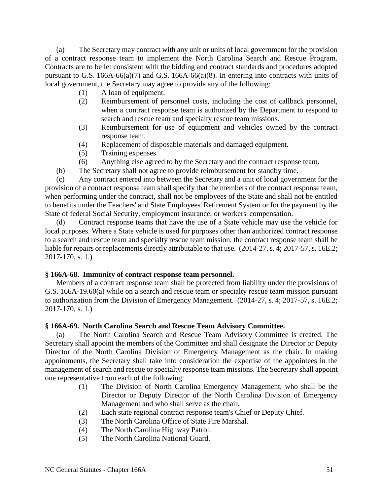(a) The Secretary may contract with any unit or units of local government for the provision of a contract response team to implement the North Carolina Search and Rescue Program. Contracts are to be let consistent with the bidding and contract standards and procedures adopted pursuant to G.S. 166A-66(a)(7) and G.S. 166A-66(a)(8). In entering into contracts with units of local government, the Secretary may agree to provide any of the following:

- (1) A loan of equipment.
- (2) Reimbursement of personnel costs, including the cost of callback personnel, when a contract response team is authorized by the Department to respond to search and rescue team and specialty rescue team missions.
- (3) Reimbursement for use of equipment and vehicles owned by the contract response team.
- (4) Replacement of disposable materials and damaged equipment.
- (5) Training expenses.
- (6) Anything else agreed to by the Secretary and the contract response team.
- (b) The Secretary shall not agree to provide reimbursement for standby time.

(c) Any contract entered into between the Secretary and a unit of local government for the provision of a contract response team shall specify that the members of the contract response team, when performing under the contract, shall not be employees of the State and shall not be entitled to benefits under the Teachers' and State Employees' Retirement System or for the payment by the State of federal Social Security, employment insurance, or workers' compensation.

(d) Contract response teams that have the use of a State vehicle may use the vehicle for local purposes. Where a State vehicle is used for purposes other than authorized contract response to a search and rescue team and specialty rescue team mission, the contract response team shall be liable for repairs or replacements directly attributable to that use. (2014-27, s. 4; 2017-57, s. 16E.2; 2017-170, s. 1.)

## **§ 166A-68. Immunity of contract response team personnel.**

Members of a contract response team shall be protected from liability under the provisions of G.S. 166A-19.60(a) while on a search and rescue team or specialty rescue team mission pursuant to authorization from the Division of Emergency Management. (2014-27, s. 4; 2017-57, s. 16E.2; 2017-170, s. 1.)

## **§ 166A-69. North Carolina Search and Rescue Team Advisory Committee.**

(a) The North Carolina Search and Rescue Team Advisory Committee is created. The Secretary shall appoint the members of the Committee and shall designate the Director or Deputy Director of the North Carolina Division of Emergency Management as the chair. In making appointments, the Secretary shall take into consideration the expertise of the appointees in the management of search and rescue or specialty response team missions. The Secretary shall appoint one representative from each of the following:

- (1) The Division of North Carolina Emergency Management, who shall be the Director or Deputy Director of the North Carolina Division of Emergency Management and who shall serve as the chair.
- (2) Each state regional contract response team's Chief or Deputy Chief.
- (3) The North Carolina Office of State Fire Marshal.
- (4) The North Carolina Highway Patrol.
- (5) The North Carolina National Guard.